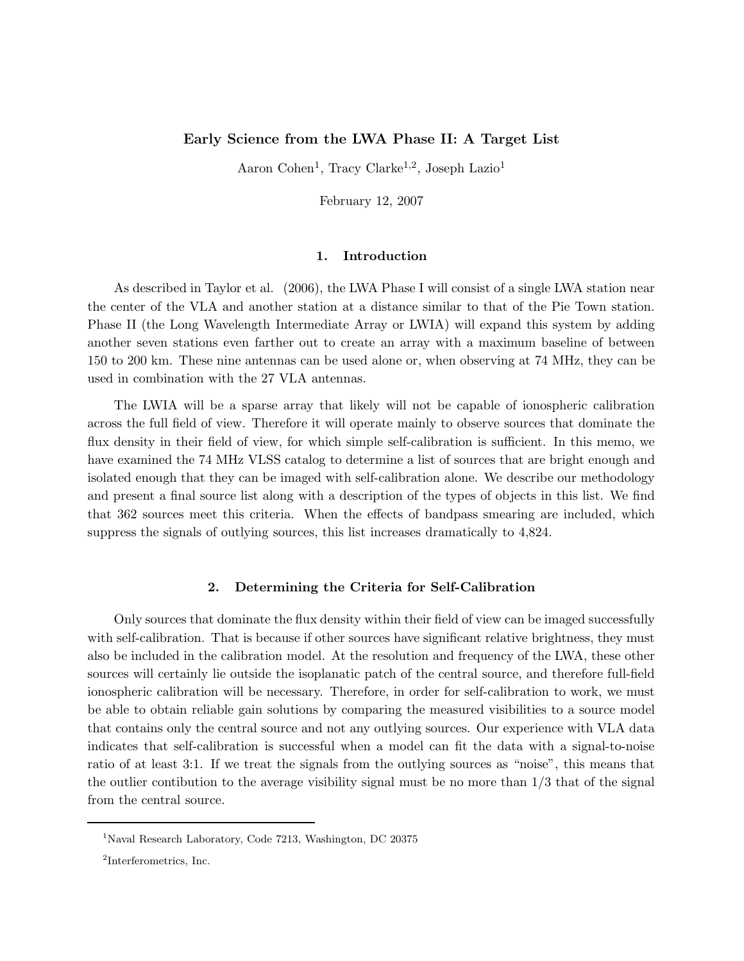# Early Science from the LWA Phase II: A Target List

Aaron Cohen<sup>1</sup>, Tracy Clarke<sup>1,2</sup>, Joseph Lazio<sup>1</sup>

February 12, 2007

### 1. Introduction

As described in Taylor et al. (2006), the LWA Phase I will consist of a single LWA station near the center of the VLA and another station at a distance similar to that of the Pie Town station. Phase II (the Long Wavelength Intermediate Array or LWIA) will expand this system by adding another seven stations even farther out to create an array with a maximum baseline of between 150 to 200 km. These nine antennas can be used alone or, when observing at 74 MHz, they can be used in combination with the 27 VLA antennas.

The LWIA will be a sparse array that likely will not be capable of ionospheric calibration across the full field of view. Therefore it will operate mainly to observe sources that dominate the flux density in their field of view, for which simple self-calibration is sufficient. In this memo, we have examined the 74 MHz VLSS catalog to determine a list of sources that are bright enough and isolated enough that they can be imaged with self-calibration alone. We describe our methodology and present a final source list along with a description of the types of objects in this list. We find that 362 sources meet this criteria. When the effects of bandpass smearing are included, which suppress the signals of outlying sources, this list increases dramatically to 4,824.

### 2. Determining the Criteria for Self-Calibration

Only sources that dominate the flux density within their field of view can be imaged successfully with self-calibration. That is because if other sources have significant relative brightness, they must also be included in the calibration model. At the resolution and frequency of the LWA, these other sources will certainly lie outside the isoplanatic patch of the central source, and therefore full-field ionospheric calibration will be necessary. Therefore, in order for self-calibration to work, we must be able to obtain reliable gain solutions by comparing the measured visibilities to a source model that contains only the central source and not any outlying sources. Our experience with VLA data indicates that self-calibration is successful when a model can fit the data with a signal-to-noise ratio of at least 3:1. If we treat the signals from the outlying sources as "noise", this means that the outlier contibution to the average visibility signal must be no more than  $1/3$  that of the signal from the central source.

<sup>1</sup>Naval Research Laboratory, Code 7213, Washington, DC 20375

<sup>2</sup> Interferometrics, Inc.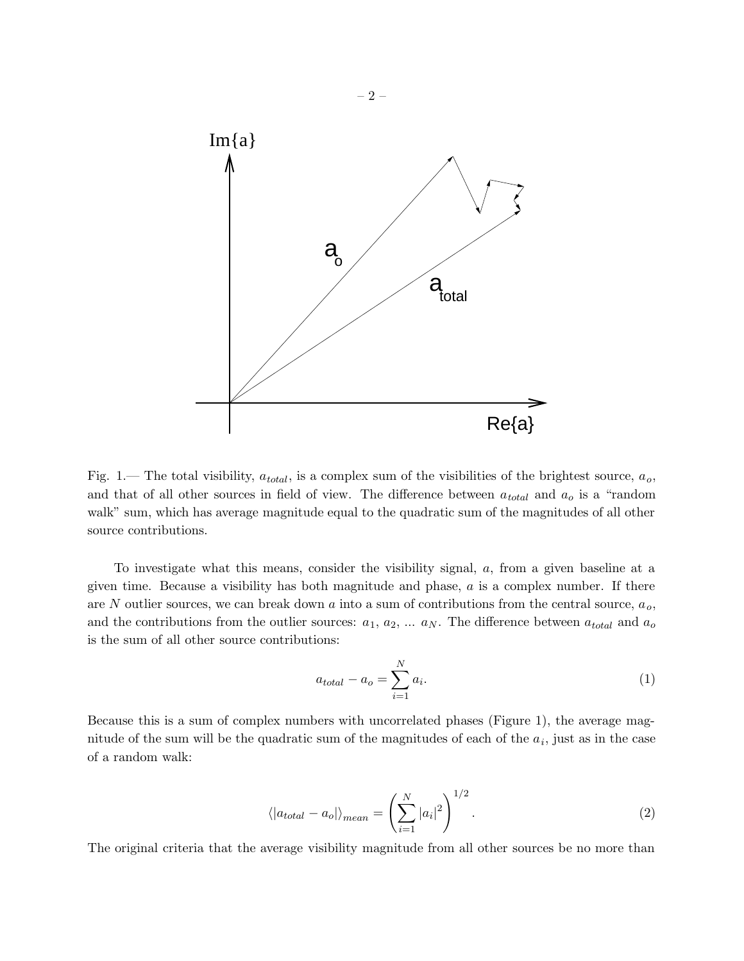

Fig. 1.— The total visibility,  $a_{total}$ , is a complex sum of the visibilities of the brightest source,  $a_o$ , and that of all other sources in field of view. The difference between  $a_{total}$  and  $a_o$  is a "random walk" sum, which has average magnitude equal to the quadratic sum of the magnitudes of all other source contributions.

To investigate what this means, consider the visibility signal, a, from a given baseline at a given time. Because a visibility has both magnitude and phase,  $a$  is a complex number. If there are N outlier sources, we can break down  $a$  into a sum of contributions from the central source,  $a_o$ , and the contributions from the outlier sources:  $a_1, a_2, \ldots, a_N$ . The difference between  $a_{total}$  and  $a_0$ is the sum of all other source contributions:

$$
a_{total} - a_o = \sum_{i=1}^{N} a_i.
$$
\n<sup>(1)</sup>

Because this is a sum of complex numbers with uncorrelated phases (Figure 1), the average magnitude of the sum will be the quadratic sum of the magnitudes of each of the  $a_i$ , just as in the case of a random walk:

$$
\langle |a_{total} - a_o| \rangle_{mean} = \left(\sum_{i=1}^{N} |a_i|^2\right)^{1/2}.
$$
 (2)

The original criteria that the average visibility magnitude from all other sources be no more than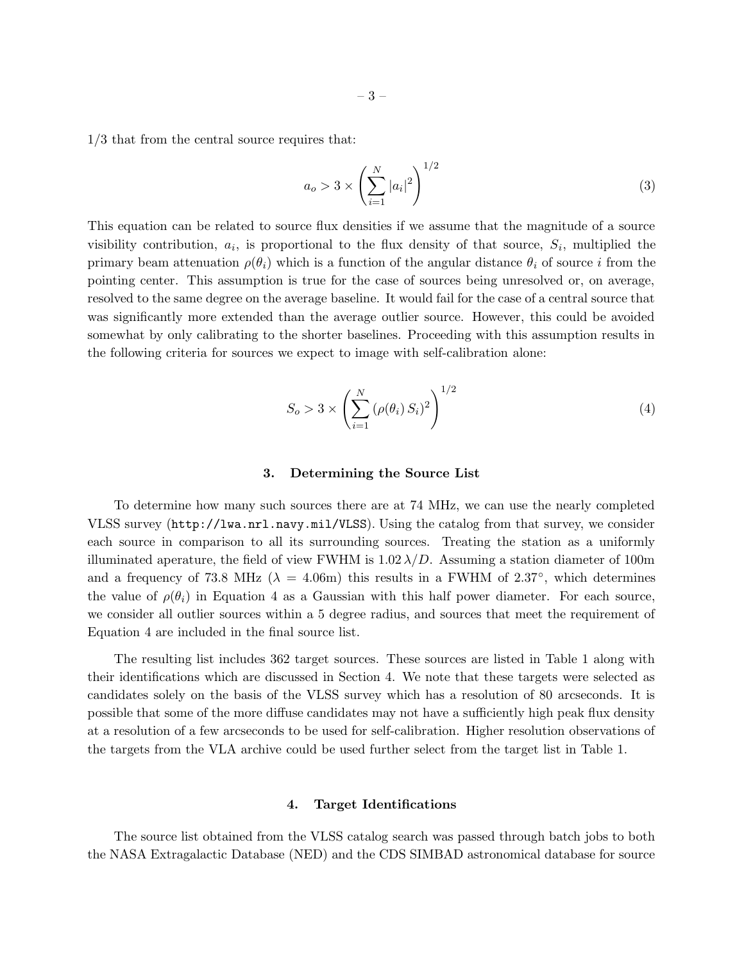1/3 that from the central source requires that:

$$
a_o > 3 \times \left(\sum_{i=1}^{N} |a_i|^2\right)^{1/2} \tag{3}
$$

This equation can be related to source flux densities if we assume that the magnitude of a source visibility contribution,  $a_i$ , is proportional to the flux density of that source,  $S_i$ , multiplied the primary beam attenuation  $\rho(\theta_i)$  which is a function of the angular distance  $\theta_i$  of source i from the pointing center. This assumption is true for the case of sources being unresolved or, on average, resolved to the same degree on the average baseline. It would fail for the case of a central source that was significantly more extended than the average outlier source. However, this could be avoided somewhat by only calibrating to the shorter baselines. Proceeding with this assumption results in the following criteria for sources we expect to image with self-calibration alone:

$$
S_o > 3 \times \left(\sum_{i=1}^{N} (\rho(\theta_i) S_i)^2\right)^{1/2}
$$
 (4)

#### 3. Determining the Source List

To determine how many such sources there are at 74 MHz, we can use the nearly completed VLSS survey (http://lwa.nrl.navy.mil/VLSS). Using the catalog from that survey, we consider each source in comparison to all its surrounding sources. Treating the station as a uniformly illuminated aperature, the field of view FWHM is  $1.02 \lambda/D$ . Assuming a station diameter of 100m and a frequency of 73.8 MHz ( $\lambda = 4.06$ m) this results in a FWHM of 2.37°, which determines the value of  $\rho(\theta_i)$  in Equation 4 as a Gaussian with this half power diameter. For each source, we consider all outlier sources within a 5 degree radius, and sources that meet the requirement of Equation 4 are included in the final source list.

The resulting list includes 362 target sources. These sources are listed in Table 1 along with their identifications which are discussed in Section 4. We note that these targets were selected as candidates solely on the basis of the VLSS survey which has a resolution of 80 arcseconds. It is possible that some of the more diffuse candidates may not have a sufficiently high peak flux density at a resolution of a few arcseconds to be used for self-calibration. Higher resolution observations of the targets from the VLA archive could be used further select from the target list in Table 1.

#### 4. Target Identifications

The source list obtained from the VLSS catalog search was passed through batch jobs to both the NASA Extragalactic Database (NED) and the CDS SIMBAD astronomical database for source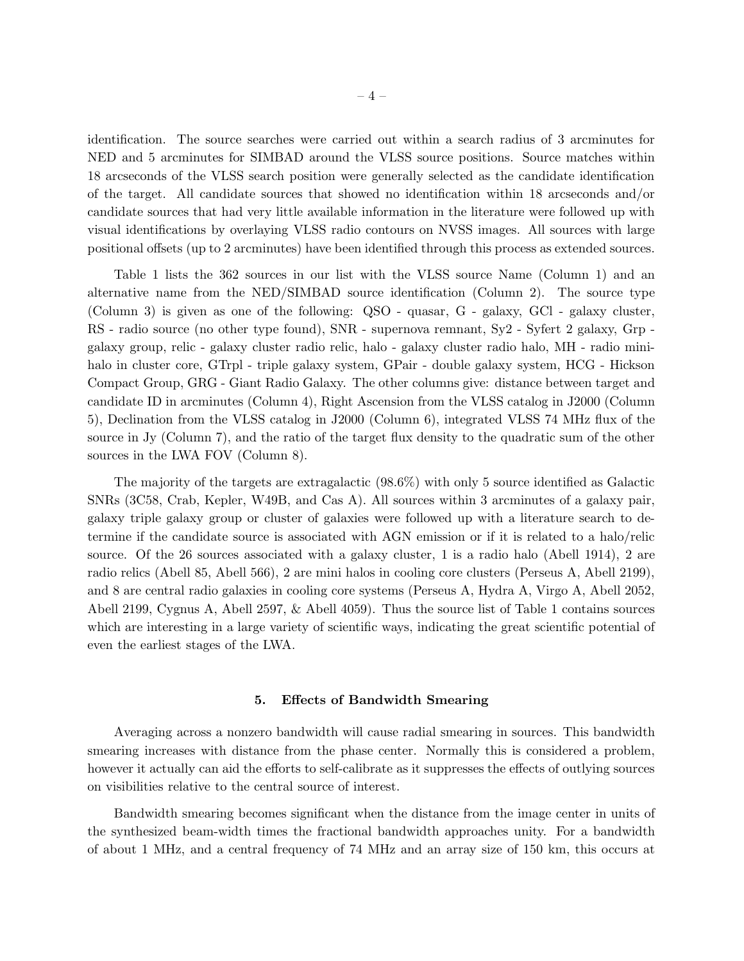identification. The source searches were carried out within a search radius of 3 arcminutes for NED and 5 arcminutes for SIMBAD around the VLSS source positions. Source matches within 18 arcseconds of the VLSS search position were generally selected as the candidate identification of the target. All candidate sources that showed no identification within 18 arcseconds and/or candidate sources that had very little available information in the literature were followed up with visual identifications by overlaying VLSS radio contours on NVSS images. All sources with large positional offsets (up to 2 arcminutes) have been identified through this process as extended sources.

Table 1 lists the 362 sources in our list with the VLSS source Name (Column 1) and an alternative name from the NED/SIMBAD source identification (Column 2). The source type (Column 3) is given as one of the following: QSO - quasar, G - galaxy, GCl - galaxy cluster, RS - radio source (no other type found), SNR - supernova remnant, Sy2 - Syfert 2 galaxy, Grp galaxy group, relic - galaxy cluster radio relic, halo - galaxy cluster radio halo, MH - radio minihalo in cluster core, GTrpl - triple galaxy system, GPair - double galaxy system, HCG - Hickson Compact Group, GRG - Giant Radio Galaxy. The other columns give: distance between target and candidate ID in arcminutes (Column 4), Right Ascension from the VLSS catalog in J2000 (Column 5), Declination from the VLSS catalog in J2000 (Column 6), integrated VLSS 74 MHz flux of the source in Jy (Column 7), and the ratio of the target flux density to the quadratic sum of the other sources in the LWA FOV (Column 8).

The majority of the targets are extragalactic (98.6%) with only 5 source identified as Galactic SNRs (3C58, Crab, Kepler, W49B, and Cas A). All sources within 3 arcminutes of a galaxy pair, galaxy triple galaxy group or cluster of galaxies were followed up with a literature search to determine if the candidate source is associated with AGN emission or if it is related to a halo/relic source. Of the 26 sources associated with a galaxy cluster, 1 is a radio halo (Abell 1914), 2 are radio relics (Abell 85, Abell 566), 2 are mini halos in cooling core clusters (Perseus A, Abell 2199), and 8 are central radio galaxies in cooling core systems (Perseus A, Hydra A, Virgo A, Abell 2052, Abell 2199, Cygnus A, Abell 2597, & Abell 4059). Thus the source list of Table 1 contains sources which are interesting in a large variety of scientific ways, indicating the great scientific potential of even the earliest stages of the LWA.

## 5. Effects of Bandwidth Smearing

Averaging across a nonzero bandwidth will cause radial smearing in sources. This bandwidth smearing increases with distance from the phase center. Normally this is considered a problem, however it actually can aid the efforts to self-calibrate as it suppresses the effects of outlying sources on visibilities relative to the central source of interest.

Bandwidth smearing becomes significant when the distance from the image center in units of the synthesized beam-width times the fractional bandwidth approaches unity. For a bandwidth of about 1 MHz, and a central frequency of 74 MHz and an array size of 150 km, this occurs at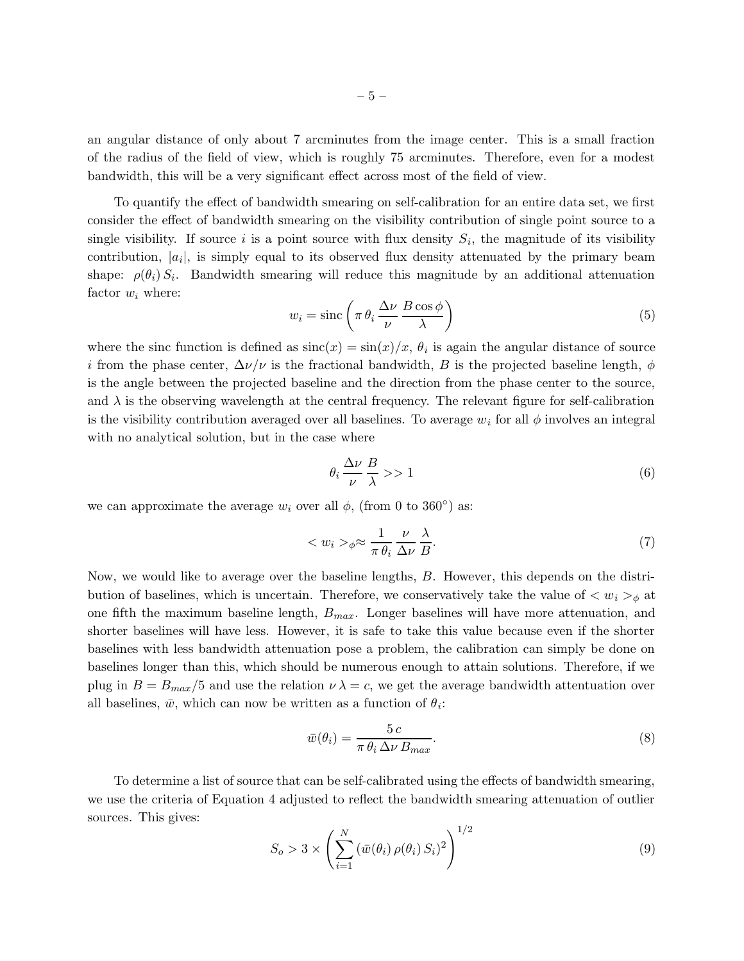an angular distance of only about 7 arcminutes from the image center. This is a small fraction of the radius of the field of view, which is roughly 75 arcminutes. Therefore, even for a modest bandwidth, this will be a very significant effect across most of the field of view.

To quantify the effect of bandwidth smearing on self-calibration for an entire data set, we first consider the effect of bandwidth smearing on the visibility contribution of single point source to a single visibility. If source  $i$  is a point source with flux density  $S_i$ , the magnitude of its visibility contribution,  $|a_i|$ , is simply equal to its observed flux density attenuated by the primary beam shape:  $\rho(\theta_i) S_i$ . Bandwidth smearing will reduce this magnitude by an additional attenuation factor  $w_i$  where:

$$
w_i = \operatorname{sinc}\left(\pi \theta_i \frac{\Delta \nu}{\nu} \frac{B \cos \phi}{\lambda}\right) \tag{5}
$$

where the sinc function is defined as  $\operatorname{sinc}(x) = \sin(x)/x$ ,  $\theta_i$  is again the angular distance of source i from the phase center,  $\Delta \nu / \nu$  is the fractional bandwidth, B is the projected baseline length,  $\phi$ is the angle between the projected baseline and the direction from the phase center to the source, and  $\lambda$  is the observing wavelength at the central frequency. The relevant figure for self-calibration is the visibility contribution averaged over all baselines. To average  $w_i$  for all  $\phi$  involves an integral with no analytical solution, but in the case where

$$
\theta_i \frac{\Delta \nu}{\nu} \frac{B}{\lambda} >> 1 \tag{6}
$$

we can approximate the average  $w_i$  over all  $\phi$ , (from 0 to 360°) as:

$$
\langle w_i \rangle_{\phi} \approx \frac{1}{\pi \theta_i} \frac{\nu}{\Delta \nu} \frac{\lambda}{B}.
$$
\n<sup>(7)</sup>

Now, we would like to average over the baseline lengths, B. However, this depends on the distribution of baselines, which is uncertain. Therefore, we conservatively take the value of  $\langle w_i \rangle_{\phi}$  at one fifth the maximum baseline length,  $B_{max}$ . Longer baselines will have more attenuation, and shorter baselines will have less. However, it is safe to take this value because even if the shorter baselines with less bandwidth attenuation pose a problem, the calibration can simply be done on baselines longer than this, which should be numerous enough to attain solutions. Therefore, if we plug in  $B = B_{max}/5$  and use the relation  $\nu \lambda = c$ , we get the average bandwidth attentuation over all baselines,  $\bar{w}$ , which can now be written as a function of  $\theta_i$ :

$$
\bar{w}(\theta_i) = \frac{5c}{\pi \theta_i \Delta \nu B_{max}}.
$$
\n(8)

To determine a list of source that can be self-calibrated using the effects of bandwidth smearing, we use the criteria of Equation 4 adjusted to reflect the bandwidth smearing attenuation of outlier sources. This gives:

$$
S_o > 3 \times \left( \sum_{i=1}^N \left( \bar{w}(\theta_i) \,\rho(\theta_i) \, S_i \right)^2 \right)^{1/2} \tag{9}
$$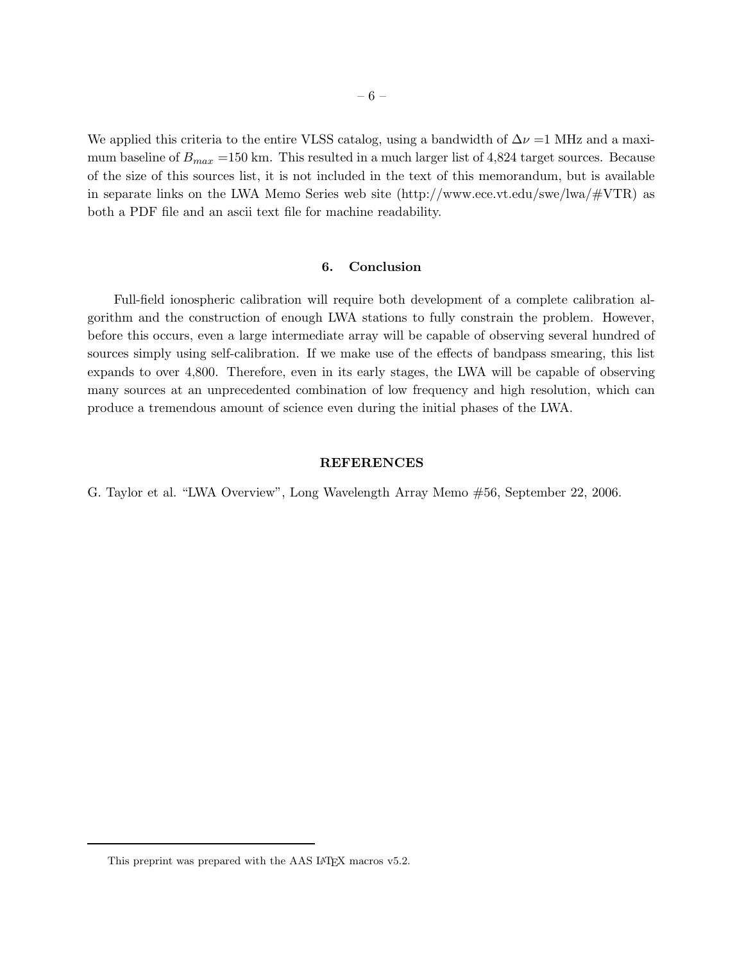We applied this criteria to the entire VLSS catalog, using a bandwidth of  $\Delta \nu =1$  MHz and a maximum baseline of  $B_{max}$  =150 km. This resulted in a much larger list of 4,824 target sources. Because of the size of this sources list, it is not included in the text of this memorandum, but is available in separate links on the LWA Memo Series web site (http://www.ece.vt.edu/swe/lwa/#VTR) as both a PDF file and an ascii text file for machine readability.

# 6. Conclusion

Full-field ionospheric calibration will require both development of a complete calibration algorithm and the construction of enough LWA stations to fully constrain the problem. However, before this occurs, even a large intermediate array will be capable of observing several hundred of sources simply using self-calibration. If we make use of the effects of bandpass smearing, this list expands to over 4,800. Therefore, even in its early stages, the LWA will be capable of observing many sources at an unprecedented combination of low frequency and high resolution, which can produce a tremendous amount of science even during the initial phases of the LWA.

#### REFERENCES

G. Taylor et al. "LWA Overview", Long Wavelength Array Memo #56, September 22, 2006.

This preprint was prepared with the AAS LATEX macros v5.2.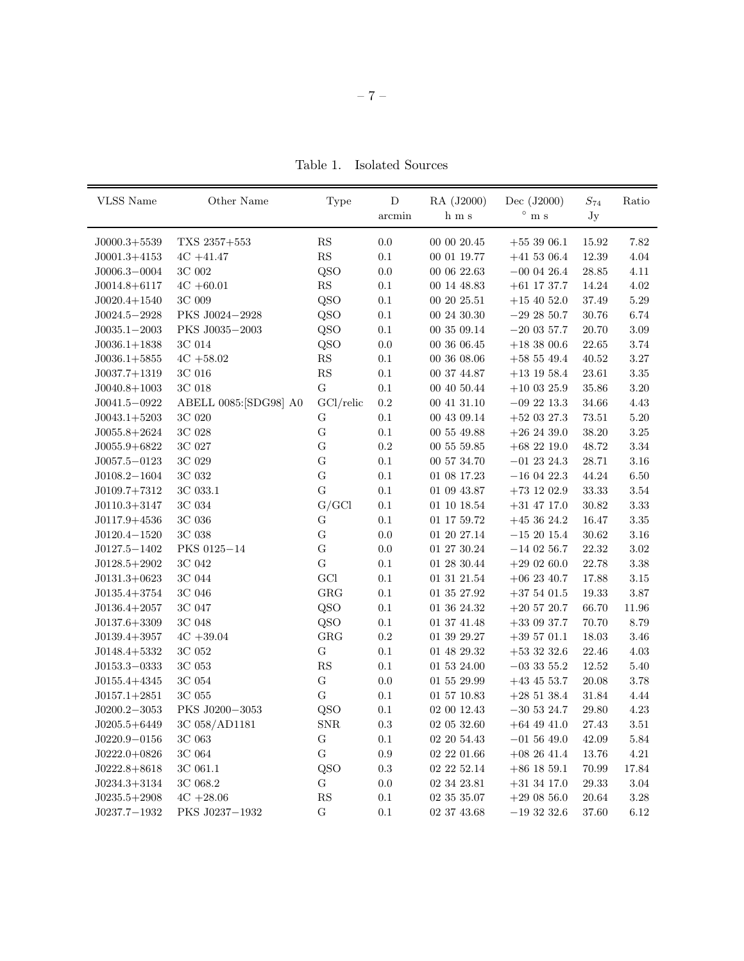Table 1. Isolated Sources

| VLSS Name                        | Other Name             | Type                   | D         | RA (J2000)        | Dec (J2000)                    | $S_{74}$  | Ratio    |
|----------------------------------|------------------------|------------------------|-----------|-------------------|--------------------------------|-----------|----------|
|                                  |                        |                        | arcmin    | h m s             | $\circ$<br>m s                 | Jy        |          |
|                                  | TXS 2357+553           | $\mathbf{R}\mathbf{S}$ | 0.0       | 00 00 20.45       |                                | 15.92     | 7.82     |
| $J0000.3+5539$<br>$J0001.3+4153$ | $4C + 41.47$           | $\mathbf{R}\mathbf{S}$ | $0.1\,$   | 00 01 19.77       | $+553906.1$<br>$+41\ 53\ 06.4$ | 12.39     | $4.04\,$ |
| $J0006.3 - 0004$                 | $3\mathrm{C}$ 002      | QSO                    | 0.0       | 00 06 22.63       | $-00$ 04 26.4                  | $28.85\,$ | 4.11     |
| $J0014.8 + 6117$                 | $4C + 60.01$           | $\mathbf{RS}$          | $0.1\,$   | 00 14 48.83       | $+61$ 17 37.7                  | 14.24     | $4.02\,$ |
| $J0020.4+1540$                   | $3\mathrm{C}$ 009      | QSO                    | $0.1\,$   | 00 20 25.51       | $+15$ 40 52.0                  | 37.49     | $5.29\,$ |
| $J0024.5 - 2928$                 | PKS J0024-2928         | QSO                    | $0.1\,$   | $00\ 24\ 30.30$   | $-29\ 28\ 50.7$                | 30.76     | $6.74\,$ |
| $J0035.1 - 2003$                 | PKS J0035-2003         | QSO                    | $0.1\,$   | 00 35 09.14       | $-20$ 03 57.7                  | $20.70\,$ | $3.09\,$ |
| $J0036.1+1838$                   | 3C 014                 | QSO                    | $0.0\,$   | 00 36 06.45       | $+18$ 38 00.6                  | $22.65\,$ | $3.74\,$ |
| $J0036.1+5855$                   | $4C + 58.02$           | $\mathbf{RS}$          | $0.1\,$   | 00 36 08.06       | $+58\ 55\ 49.4$                | $40.52\,$ | $3.27\,$ |
| $J0037.7+1319$                   | $3\mathrm{C}$ 016      | $\mathbf{RS}$          | $0.1\,$   | 00 37 44.87       | $+13\ 19\ 58.4$                | 23.61     | $3.35\,$ |
| $J0040.8+1003$                   | 3C 018                 | ${\bf G}$              | $0.1\,$   | $00\ 40\ 50.44$   | $+10$ 03 25.9                  | 35.86     | $3.20\,$ |
| $J0041.5 - 0922$                 | ABELL 0085: [SDG98] A0 | $GCl$ /relic           | $\rm 0.2$ | 00 41 31.10       | $-09$ 22 13.3                  | 34.66     | 4.43     |
| $J0043.1+5203$                   | 3C 020                 | ${\bf G}$              | $0.1\,$   | $00\ 43\ 09.14$   | $+52$ 03 27.3                  | $73.51\,$ | $5.20\,$ |
| $J0055.8+2624$                   | 3C 028                 | ${\bf G}$              | $0.1\,$   | 00 55 49.88       | $+26\ 24\ 39.0$                | $38.20\,$ | $3.25\,$ |
| $J0055.9 + 6822$                 | 3C 027                 | G                      | $\rm 0.2$ | 00 55 59.85       | $+68$ 22 19.0                  | 48.72     | $\!3.34$ |
| $J0057.5 - 0123$                 | 3C 029                 | G                      | $0.1\,$   | 00 57 34.70       | $-01$ 23 24.3                  | 28.71     | $3.16\,$ |
| $J0108.2 - 1604$                 | 3C 032                 | $\mathbf G$            | $0.1\,$   | $01\ 08\ 17.23$   | $-16$ 04 22.3                  | 44.24     | $6.50\,$ |
| $J0109.7+7312$                   | 3C 033.1               | $\mathbf G$            | $0.1\,$   | 01 09 43.87       | $+73$ 12 02.9                  | 33.33     | $3.54\,$ |
| $J0110.3+3147$                   | $3\mathrm{C}$ 034      | G/GCl                  | $0.1\,$   | $01\ 10\ 18.54$   | $+31$ 47 17.0                  | 30.82     | $3.33\,$ |
| $J0117.9+4536$                   | $3\mathrm{C}$ 036      | G                      | $0.1\,$   | 01 17 59.72       | $+453624.2$                    | 16.47     | $3.35\,$ |
| $J0120.4 - 1520$                 | 3C 038                 | G                      | $0.0\,$   | 01 20 27.14       | $-15\ 20\ 15.4$                | $30.62\,$ | $3.16\,$ |
| $J0127.5 - 1402$                 | PKS 0125-14            | $\mathbf G$            | $0.0\,$   | 01 27 30.24       | $-14$ 02 56.7                  | 22.32     | $3.02\,$ |
| $J0128.5+2902$                   | 3C 042                 | ${\bf G}$              | $0.1\,$   | $01\ 28\ 30.44$   | $+290260.0$                    | 22.78     | $3.38\,$ |
| $J0131.3+0623$                   | 3C 044                 | $\rm GCl$              | $0.1\,$   | $01\ 31\ 21.54$   | $+06$ 23 40.7                  | 17.88     | $3.15\,$ |
| $J0135.4+3754$                   | 3C 046                 | GRG                    | $0.1\,$   | $01\ 35\ 27.92$   | $+375401.5$                    | 19.33     | $3.87\,$ |
| $J0136.4+2057$                   | $3\mathrm{C}$ 047      | QSO                    | $0.1\,$   | $01\ 36\ 24.32$   | $+20\;57\;20.7$                | 66.70     | 11.96    |
| $J0137.6+3309$                   | 3C 048                 | QSO                    | $0.1\,$   | 01 37 41.48       | $+33$ 09 37.7                  | 70.70     | $8.79\,$ |
| $J0139.4+3957$                   | $4C + 39.04$           | GRG                    | $\rm 0.2$ | $01\ 39\ 29.27$   | $+39\ 57\ 01.1$                | 18.03     | $3.46\,$ |
| $J0148.4+5332$                   | $3\mathrm{C}$ 052      | ${\bf G}$              | 0.1       | $01\ 48\ 29.32$   | $+53$ 32 32.6                  | 22.46     | $4.03\,$ |
| $J0153.3 - 0333$                 | $3\mathrm{C}$ 053      | ${\rm RS}$             | $0.1\,$   | $01\ 53\ 24.00$   | $-03$ 33 55.2                  | 12.52     | $5.40\,$ |
| $J0155.4+4345$                   | $3\mathrm{C}$ 054      | ${\bf G}$              | $0.0\,$   | $01\ 55\ 29.99$   | $+43$ 45 53.7                  | 20.08     | $3.78\,$ |
| $J0157.1+2851$                   | 3C 055                 | ${\bf G}$              | 0.1       | $01\ 57\ 10.83$   | $+28\;51\;38.4$                | 31.84     | $4.44\,$ |
| $J0200.2 - 3053$                 | PKS J0200-3053         | QSO                    | $0.1\,$   | $02\ 00\ 12.43$   | $-30$ 53 24.7                  | 29.80     | $4.23\,$ |
| $J0205.5 + 6449$                 | 3C 058/AD1181          | <b>SNR</b>             | 0.3       | 02 05 32.60       | $+64$ 49 41.0                  | 27.43     | $3.51\,$ |
| $J0220.9 - 0156$                 | 3C 063                 | $\mathbf G$            | 0.1       | 02 20 54.43       | $-01\,56\,49.0$                | 42.09     | 5.84     |
| $J0222.0+0826$                   | 3C 064                 | ${\bf G}$              | $\rm 0.9$ | 02 22 01.66       | $+08$ 26 41.4                  | 13.76     | 4.21     |
| $J0222.8 + 8618$                 | 3C 061.1               | QSO                    | 0.3       | $02$ $22$ $52.14$ | $+86$ 18 59.1                  | 70.99     | 17.84    |
| $J0234.3+3134$                   | 3C 068.2               | G                      | 0.0       | 02 34 23.81       | $+31$ 34 17.0                  | 29.33     | 3.04     |
| $J0235.5+2908$                   | $4C + 28.06$           | ${\rm RS}$             | 0.1       | 02 35 35.07       | $+29$ 08 56.0                  | 20.64     | 3.28     |
| $J0237.7 - 1932$                 | PKS J0237-1932         | ${\bf G}$              | 0.1       | 02 37 43.68       | $-193232.6$                    | 37.60     | 6.12     |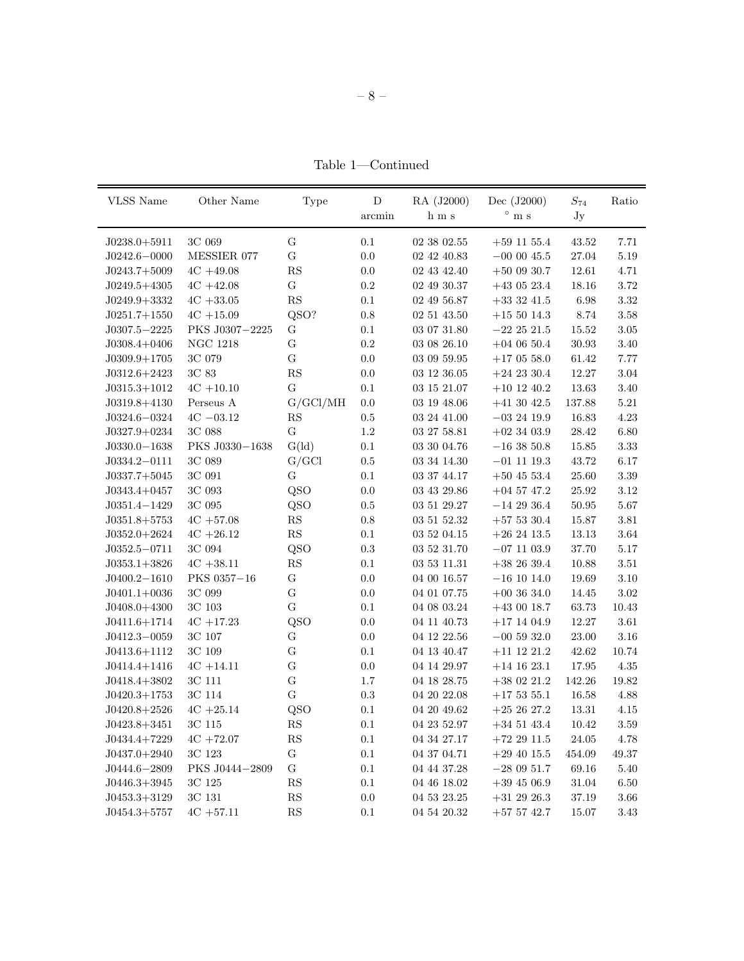Table 1—Continued

| <b>VLSS</b> Name                 | Other Name          | Type                   | ${\rm D}$<br>arcmin | RA (J2000)<br>$h$ m s          | Dec (J2000)<br>$^{\circ}$ m s    | $S_{74}$<br>Jy | Ratio            |
|----------------------------------|---------------------|------------------------|---------------------|--------------------------------|----------------------------------|----------------|------------------|
| $J0238.0+5911$                   | $3\mathrm{C}$ 069   | ${\bf G}$              | $0.1\,$             | 02 38 02.55                    | $+59$ 11 55.4                    | 43.52          | 7.71             |
| $J0242.6 - 0000$                 | MESSIER 077         | ${\bf G}$              | $0.0\,$             | $02\ 42\ 40.83$                | $-00$ 00 45.5                    | $27.04\,$      | $5.19\,$         |
| $J0243.7+5009$                   | $4C + 49.08$        | $\mathbf{R}\mathbf{S}$ | $0.0\,$             | 02 43 42.40                    | $+50$ 09 30.7                    | 12.61          | 4.71             |
| $J0249.5+4305$                   | $4C + 42.08$        | ${\bf G}$              | $\rm 0.2$           | 02 49 30.37                    | $+43$ 05 23.4                    | 18.16          | $3.72\,$         |
| $J0249.9+3332$                   | $4C + 33.05$        | $\mathbf{R}\mathbf{S}$ | $0.1\,$             | $02\ 49\ 56.87$                | $+33$ 32 41.5                    | $6.98\,$       | $3.32\,$         |
| $J0251.7+1550$                   | $4C + 15.09$        | QSO?                   | $\rm 0.8$           | $02\ 51\ 43.50$                | $+15\ 50\ 14.3$                  | $8.74\,$       | $3.58\,$         |
| $J0307.5 - 2225$                 | PKS J0307-2225      | ${\rm G}$              | $0.1\,$             | $03 \ 07 \ 31.80$              | $-22\ 25\ 21.5$                  | $15.52\,$      | $3.05\,$         |
| $J0308.4+0406$                   | <b>NGC 1218</b>     | ${\bf G}$              | $\rm 0.2$           | $03\ 08\ 26.10$                | $+04$ 06 50.4                    | $30.93\,$      | $3.40\,$         |
| $J0309.9+1705$                   | 3C 079              | ${\bf G}$              | $0.0\,$             | $03\ 09\ 59.95$                | $+17$ 05 58.0                    | 61.42          | $7.77\,$         |
| $J0312.6 + 2423$                 | $3\mathrm{C}$ 83    | $\mathbf{R}\mathbf{S}$ | $0.0\,$             | $03\ 12\ 36.05$                | $+24$ 23 30.4                    | 12.27          | $3.04\,$         |
| $J0315.3+1012$                   | $4C + 10.10$        | ${\rm G}$              | $0.1\,$             | $03\ 15\ 21.07$                | $+10\ 12\ 40.2$                  | $13.63\,$      | $3.40\,$         |
| $J0319.8 + 4130$                 | Perseus A           | G/GCl/MH               | $0.0\,$             | $03\ 19\ 48.06$                | $+41\ 30\ 42.5$                  | 137.88         | $5.21\,$         |
| $J0324.6 - 0324$                 | $4{\rm C}$ $-03.12$ | $\mathbf{R}\mathbf{S}$ | $\rm 0.5$           | $03\ 24\ 41.00$                | $-03$ 24 19.9                    | 16.83          | $4.23\,$         |
| $J0327.9+0234$                   | $3\mathrm{C}$ 088   | ${\bf G}$              | $1.2\,$             | 03 27 58.81                    | $+02\ 34\ 03.9$                  | $28.42\,$      | $6.80\,$         |
| $J0330.0 - 1638$                 | PKS J0330-1638      | $G$ (ld)               | $0.1\,$             | $03\ 30\ 04.76$                | $-16$ 38 50.8                    | $15.85\,$      | $3.33\,$         |
| $J0334.2 - 0111$                 | $3\mathrm{C}$ 089   | G/GCl                  | $\rm 0.5$           | 03 34 14.30                    | $-01$ 11 19.3                    | 43.72          | $6.17\,$         |
| $J0337.7+5045$                   | 3C 091              | G                      | $0.1\,$             | 03 37 44.17                    | $+50\ 45\ 53.4$                  | $25.60\,$      | $3.39\,$         |
| $J0343.4+0457$                   | $3\mathrm{C}$ 093   | QSO                    | $0.0\,$             | $03\ 43\ 29.86$                | $+04$ 57 47.2                    | $25.92\,$      | $3.12\,$         |
| $J0351.4 - 1429$                 | $3\mathrm{C}$ 095   | QSO                    | $\rm 0.5$           | $03\ 51\ 29.27$                | $-14\ 29\ 36.4$                  | $50.95\,$      | $5.67\,$         |
| $J0351.8+5753$                   | $4C + 57.08$        | $\mathbf{R}\mathbf{S}$ | $0.8\,$             | $03\ 51\ 52.32$                | $+57$ 53 30.4                    | 15.87          | $3.81\,$         |
| $J0352.0+2624$                   | $4C + 26.12$        | $\mathbf{R}\mathbf{S}$ | $0.1\,$             | $03\ 52\ 04.15$                | $+26\ 24\ 13.5$                  | $13.13\,$      | $3.64\,$         |
| $J0352.5 - 0711$                 | 3C 094              | QSO                    | $\rm 0.3$           | $03\ 52\ 31.70$                | $-07\ 11\ 03.9$                  | $37.70\,$      | $5.17\,$         |
| $J0353.1+3826$                   | $4C + 38.11$        | $\mathbf{R}\mathbf{S}$ | $0.1\,$             | 03 53 11.31                    | $+38\ 26\ 39.4$                  | $10.88\,$      | $3.51\,$         |
| $J0400.2 - 1610$                 | PKS 0357-16         | ${\bf G}$              | $0.0\,$             | 04 00 16.57                    | $-16$ 10 14.0                    | 19.69          | $3.10\,$         |
| $J0401.1+0036$                   | 3C 099              | ${\bf G}$              | $0.0\,$             | 04 01 07.75                    | $+00$ 36 34.0                    | $14.45\,$      | $3.02\,$         |
| $J0408.0 + 4300$                 | $3\mathrm{C}$ 103   | ${\bf G}$              | 0.1                 | $04\ 08\ 03.24$                | $+43$ 00 18.7                    | 63.73          | $10.43\,$        |
| $J0411.6 + 1714$                 | $4C + 17.23$        | QSO                    | $0.0\,$             | 04 11 40.73                    | $+17\ 14\ 04.9$                  | $12.27\,$      | $3.61\,$         |
| $J0412.3 - 0059$                 | $3\mathrm{C}$ $107$ | G                      | $0.0\,$             | 04 12 22.56                    | $-00$ 59 32.0                    | $23.00\,$      | $3.16\,$         |
| $J0413.6 + 1112$                 | 3C 109              | $\overline{G}$         | $0.1\,$             | 04 13 40.47                    | $+11\ 12\ 21.2$                  | $42.62\,$      | $10.74\,$        |
| $J0414.4+1416$                   | $4C + 14.11$        | ${\bf G}$              | 0.0                 | 04 14 29.97                    | $+14\ 16\ 23.1$                  | $17.95\,$      | $4.35\,$         |
| $J0418.4+3802$                   | $3\mathrm{C}$ 111   | ${\bf G}$              | 1.7                 | 04 18 28.75                    | $+38\ 02\ 21.2$                  | 142.26         | 19.82            |
| $J0420.3+1753$                   | 3C 114              | ${\bf G}$              | $\rm 0.3$           | $04\ 20\ 22.08$                | $+17\ 53\ 55.1$                  | $16.58\,$      | $4.88\,$         |
| $J0420.8+2526$                   | $4C + 25.14$        | QSO                    | 0.1                 | 04 20 49.62                    | $+252627.2$                      | 13.31          | 4.15             |
| $J0423.8 + 3451$                 | $3\mathrm{C}$ 115   | ${\rm RS}$             | 0.1                 | 04 23 52.97                    | $+34\ 51\ 43.4$                  | $10.42\,$      | $3.59\,$         |
| $J0434.4+7229$                   | $4C + 72.07$        | RS                     | 0.1                 | 04 34 27.17                    | $+72$ 29 11.5                    | 24.05          | 4.78             |
| $J0437.0+2940$                   | 3C 123              | ${\bf G}$              | $0.1\,$             | 04 37 04.71                    | $+29$ 40 15.5                    | 454.09         | 49.37            |
| $J0444.6 - 2809$                 | PKS J0444-2809      | G                      | $0.1\,$             | 04 44 37.28                    | $-280951.7$                      | 69.16          | $5.40\,$         |
|                                  |                     |                        |                     |                                |                                  |                |                  |
|                                  |                     |                        |                     |                                |                                  |                |                  |
| $J0446.3+3945$<br>$J0453.3+3129$ | 3C 125<br>3C 131    | RS<br>RS               | $0.1\,$<br>0.0      | $04\ 46\ 18.02$<br>04 53 23.25 | $+39\ 45\ 06.9$<br>$+31$ 29 26.3 | 31.04<br>37.19 | 6.50<br>$3.66\,$ |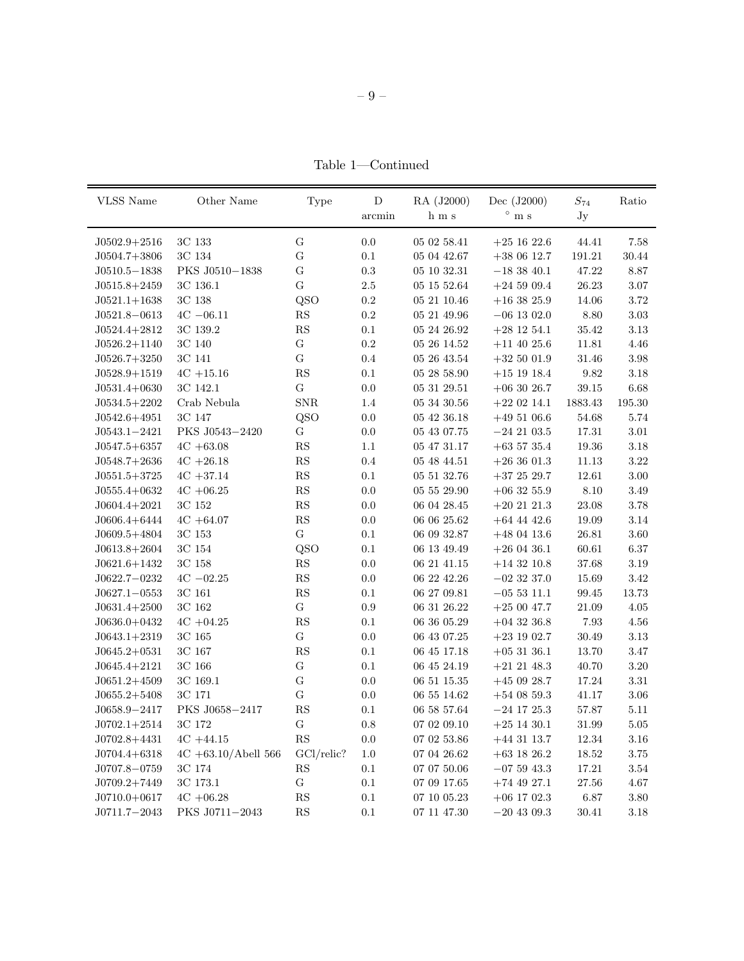Table 1—Continued

| VLSS Name        | Other Name              | <b>Type</b> | D         | RA (J2000)      | Dec (J2000)              | $S_{74}$  | Ratio     |
|------------------|-------------------------|-------------|-----------|-----------------|--------------------------|-----------|-----------|
|                  |                         |             | arcmin    | h m s           | $\circ$<br>$\mathbf m$ s | Jy        |           |
| $J0502.9 + 2516$ | 3C 133                  | G           | $0.0\,$   | 05 02 58.41     | $+25$ 16 22.6            | 44.41     | 7.58      |
| $J0504.7+3806$   | 3C 134                  | G           | $0.1\,$   | 05 04 42.67     | $+380612.7$              | 191.21    | $30.44\,$ |
| $J0510.5 - 1838$ | PKS J0510-1838          | G           | $\rm 0.3$ | 05 10 32.31     | $-183840.1$              | 47.22     | 8.87      |
| $J0515.8 + 2459$ | 3C 136.1                | G           | $2.5\,$   | 05 15 52.64     | $+24\ 59\ 09.4$          | 26.23     | $3.07\,$  |
| $J0521.1+1638$   | $3\mathrm{C}$ 138       | QSO         | $\rm 0.2$ | $05\ 21\ 10.46$ | $+16\ 38\ 25.9$          | 14.06     | 3.72      |
| $J0521.8 - 0613$ | $4C - 06.11$            | ${\rm RS}$  | $\rm 0.2$ | 05 21 49.96     | $-06$ 13 02.0            | 8.80      | $3.03\,$  |
| $J0524.4+2812$   | 3C 139.2                | ${\rm RS}$  | $0.1\,$   | 05 24 26.92     | $+28$ 12 54.1            | 35.42     | $3.13\,$  |
| $J0526.2 + 1140$ | 3C 140                  | ${\bf G}$   | $\rm 0.2$ | 05 26 14.52     | $+11$ 40 25.6            | 11.81     | 4.46      |
| $J0526.7+3250$   | 3C 141                  | $\mathbf G$ | 0.4       | 05 26 43.54     | $+32\ 50\ 01.9$          | 31.46     | $3.98\,$  |
| $J0528.9+1519$   | $4C + 15.16$            | ${\rm RS}$  | $0.1\,$   | $05\ 28\ 58.90$ | $+15$ 19 18.4            | 9.82      | $3.18\,$  |
| $J0531.4+0630$   | 3C 142.1                | G           | $0.0\,$   | 05 31 29.51     | $+06$ 30 26.7            | 39.15     | $6.68\,$  |
| $J0534.5+2202$   | Crab Nebula             | ${\rm SNR}$ | 1.4       | $05\ 34\ 30.56$ | $+22$ 02 14.1            | 1883.43   | 195.30    |
| $J0542.6 + 4951$ | 3C 147                  | QSO         | $0.0\,$   | 05 42 36.18     | $+49\ 51\ 06.6$          | 54.68     | 5.74      |
| $J0543.1 - 2421$ | PKS J0543-2420          | G           | $0.0\,$   | 05 43 07.75     | $-24$ 21 03.5            | 17.31     | $3.01\,$  |
| $J0547.5 + 6357$ | $4C + 63.08$            | ${\rm RS}$  | 1.1       | 05 47 31.17     | $+63\ 57\ 35.4$          | 19.36     | $3.18\,$  |
| $J0548.7+2636$   | $4C + 26.18$            | ${\rm RS}$  | 0.4       | 05 48 44.51     | $+26$ 36 01.3            | 11.13     | $3.22\,$  |
| $J0551.5+3725$   | $4C + 37.14$            | ${\rm RS}$  | $0.1\,$   | 05 51 32.76     | $+37\ 25\ 29.7$          | 12.61     | $3.00\,$  |
| $J0555.4+0632$   | $4C + 06.25$            | ${\rm RS}$  | $0.0\,$   | 05 55 29.90     | $+06$ 32 55.9            | 8.10      | $3.49\,$  |
| $J0604.4+2021$   | 3C 152                  | ${\rm RS}$  | $0.0\,$   | 06 04 28.45     | $+20\ 21\ 21.3$          | 23.08     | $3.78\,$  |
| $J0606.4 + 6444$ | $4C + 64.07$            | ${\rm RS}$  | $0.0\,$   | 06 06 25.62     | $+64$ 44 42.6            | 19.09     | $3.14\,$  |
| $J0609.5+4804$   | 3C 153                  | ${\bf G}$   | 0.1       | 06 09 32.87     | $+48$ 04 13.6            | 26.81     | $3.60\,$  |
| $J0613.8+2604$   | 3C 154                  | QSO         | $0.1\,$   | 06 13 49.49     | $+26$ 04 36.1            | 60.61     | $6.37\,$  |
| $J0621.6+1432$   | 3C 158                  | ${\rm RS}$  | 0.0       | 06 21 41.15     | $+14\ 32\ 10.8$          | 37.68     | 3.19      |
| $J0622.7 - 0232$ | $4C - 02.25$            | ${\rm RS}$  | 0.0       | 06 22 42.26     | $-02$ 32 37.0            | 15.69     | 3.42      |
| $J0627.1 - 0553$ | $3\mathrm{C}$ 161       | ${\rm RS}$  | $0.1\,$   | 06 27 09.81     | $-05$ 53 11.1            | 99.45     | 13.73     |
| $J0631.4+2500$   | 3C 162                  | ${\bf G}$   | 0.9       | 06 31 26.22     | $+25\ 00\ 47.7$          | 21.09     | 4.05      |
| $J0636.0+0432$   | $4C + 04.25$            | ${\rm RS}$  | $0.1\,$   | 06 36 05.29     | $+04$ 32 36.8            | $7.93\,$  | 4.56      |
| $J0643.1+2319$   | 3C 165                  | ${\bf G}$   | 0.0       | 06 43 07.25     | $+23$ 19 02.7            | 30.49     | $3.13\,$  |
| $J0645.2+0531$   | 3C 167                  | RS          | $0.1\,$   | 06 45 17.18     | $+053136.1$              | 13.70     | 3.47      |
| $J0645.4 + 2121$ | 3C 166                  | ${\bf G}$   | 0.1       | 06 45 24.19     | $+21\ 21\ 48.3$          | 40.70     | $3.20\,$  |
| $J0651.2+4509$   | 3C 169.1                | ${\bf G}$   | 0.0       | 06 51 15.35     | $+450928.7$              | $17.24\,$ | $3.31\,$  |
| $J0655.2 + 5408$ | 3C 171                  | G           | 0.0       | 06 55 14.62     | $+54$ 08 59.3            | 41.17     | $3.06\,$  |
| $J0658.9 - 2417$ | PKS J0658-2417          | ${\rm RS}$  | $0.1\,$   | 06 58 57.64     | $-24$ 17 $25.3$          | 57.87     | $5.11\,$  |
| $J0702.1 + 2514$ | 3C 172                  | ${\bf G}$   | $0.8\,$   | 07 02 09.10     | $+25$ 14 30.1            | 31.99     | 5.05      |
| $J0702.8 + 4431$ | $4C + 44.15$            | RS          | $0.0\,$   | 07 02 53.86     | $+44$ 31 13.7            | $12.34\,$ | 3.16      |
| $J0704.4 + 6318$ | $4C + 63.10/A$ bell 566 | GCl/relic?  | $1.0\,$   | $07\ 04\ 26.62$ | $+63$ 18 26.2            | $18.52\,$ | $3.75\,$  |
| $J0707.8 - 0759$ | 3C 174                  | RS          | $0.1\,$   | $07\ 07\ 50.06$ | $-07$ 59 43.3            | 17.21     | $3.54\,$  |
| $J0709.2+7449$   | $3\mathrm{C}$ 173.1     | G           | $0.1\,$   | 07 09 17.65     | $+74$ 49 27.1            | $27.56\,$ | 4.67      |
| $J0710.0+0617$   | $4C + 06.28$            | ${\rm RS}$  | $0.1\,$   | 07 10 05.23     | $+06$ 17 02.3            | $6.87\,$  | 3.80      |
| $J0711.7 - 2043$ | PKS J0711-2043          | ${\rm RS}$  | $0.1\,$   | $07\ 11\ 47.30$ | $-20\ 43\ 09.3$          | 30.41     | $3.18\,$  |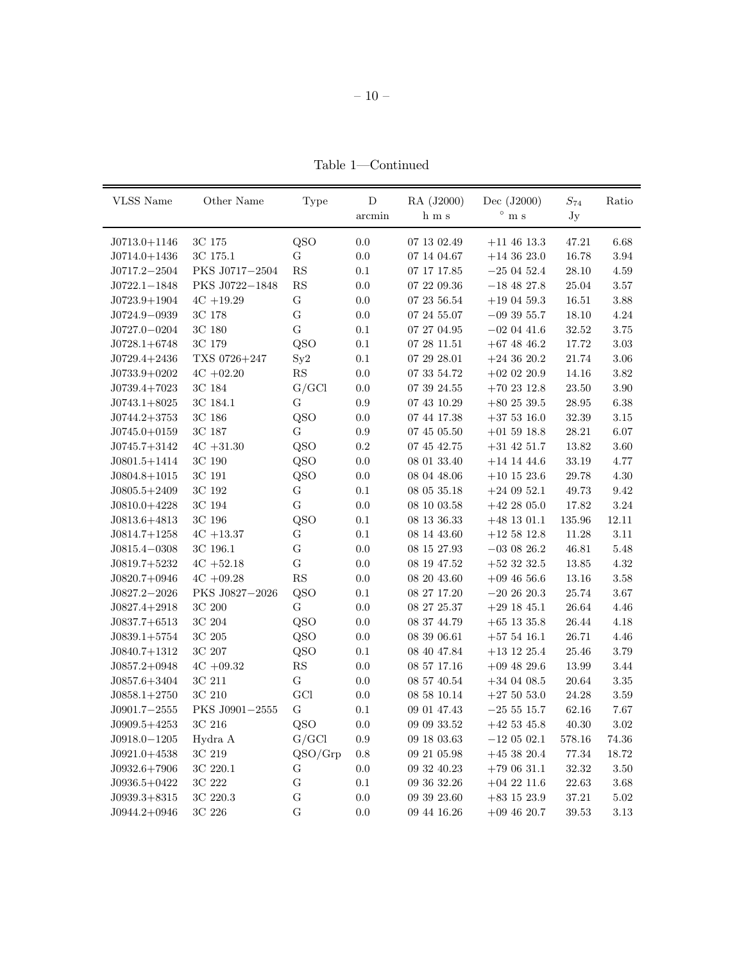Table  $1$  —Continued

| <b>VLSS</b> Name | Other Name          | Type                   | ${\rm D}$    | RA (J2000)      | Dec $(J2000)$   | $S_{74}$  | Ratio    |
|------------------|---------------------|------------------------|--------------|-----------------|-----------------|-----------|----------|
|                  |                     |                        | $\rm arcmin$ | ${\rm h}$ m s   | $^{\circ}$ m s  | Jy        |          |
| $J0713.0 + 1146$ | 3C 175              | QSO                    | 0.0          | $07\ 13\ 02.49$ | $+11$ 46 13.3   | 47.21     | 6.68     |
| $J0714.0 + 1436$ | $3\mathrm{C}$ 175.1 | G                      | 0.0          | 07 14 04.67     | $+14$ 36 23.0   | 16.78     | $\!.94$  |
| $J0717.2 - 2504$ | PKS J0717-2504      | ${\rm RS}$             | 0.1          | 07 17 17.85     | $-250452.4$     | 28.10     | $4.59\,$ |
| $J0722.1 - 1848$ | PKS J0722-1848      | ${\rm RS}$             | $0.0\,$      | 07 22 09.36     | $-18$ 48 27.8   | $25.04\,$ | $3.57\,$ |
| $J0723.9 + 1904$ | $4C + 19.29$        | ${\bf G}$              | $0.0\,$      | 07 23 56.54     | $+19$ 04 59.3   | 16.51     | $3.88\,$ |
| $J0724.9 - 0939$ | 3C 178              | ${\bf G}$              | 0.0          | 07 24 55.07     | $-093955.7$     | 18.10     | 4.24     |
| $J0727.0 - 0204$ | $3\mathrm{C}$ 180   | $\mathbf G$            | 0.1          | 07 27 04.95     | $-020441.6$     | 32.52     | $3.75\,$ |
| $J0728.1 + 6748$ | 3C 179              | QSO                    | $0.1\,$      | 072811.51       | $+67$ 48 46.2   | 17.72     | $3.03\,$ |
| $J0729.4 + 2436$ | TXS 0726+247        | Sy2                    | $0.1\,$      | 07 29 28.01     | $+24$ 36 20.2   | 21.74     | $3.06\,$ |
| $J0733.9+0202$   | $4C + 02.20$        | $\mathbf{R}\mathbf{S}$ | $0.0\,$      | $07\ 33\ 54.72$ | $+02$ 02 20.9   | 14.16     | $3.82\,$ |
| $J0739.4+7023$   | 3C 184              | G/GCl                  | $0.0\,$      | 07 39 24.55     | $+702312.8$     | 23.50     | 3.90     |
| $J0743.1 + 8025$ | 3C 184.1            | ${\bf G}$              | 0.9          | 07 43 10.29     | $+80$ 25 39.5   | 28.95     | $6.38\,$ |
| $J0744.2+3753$   | $3\mathrm{C}$ 186   | QSO                    | $0.0\,$      | 07 44 17.38     | $+37$ 53 16.0   | 32.39     | $3.15\,$ |
| $J0745.0+0159$   | 3C 187              | $\mathbf G$            | $0.9\,$      | 07 45 05.50     | $+01$ 59 18.8   | 28.21     | 6.07     |
| $J0745.7+3142$   | $4C + 31.30$        | QSO                    | $\rm 0.2$    | 07 45 42.75     | $+31$ 42 51.7   | $13.82\,$ | $3.60\,$ |
| $J0801.5+1414$   | 3C 190              | QSO                    | $0.0\,$      | $08\ 01\ 33.40$ | $+14$ 14 44.6   | 33.19     | 4.77     |
| $J0804.8+1015$   | 3C 191              | QSO                    | $0.0\,$      | 08 04 48.06     | $+10$ 15 23.6   | 29.78     | 4.30     |
| $J0805.5+2409$   | $3\mathrm{C}$ 192   | ${\bf G}$              | $0.1\,$      | 08 05 35.18     | $+24$ 09 52.1   | 49.73     | 9.42     |
| $J0810.0 + 4228$ | 3C 194              | G                      | $0.0\,$      | 08 10 03.58     | $+42$ 28 05.0   | 17.82     | $3.24\,$ |
| $J0813.6 + 4813$ | 3C 196              | QSO                    | $0.1\,$      | $08\ 13\ 36.33$ | $+48$ 13 01.1   | 135.96    | 12.11    |
| $J0814.7+1258$   | $4C + 13.37$        | ${\bf G}$              | $0.1\,$      | 08 14 43.60     | $+12\,58\,12.8$ | 11.28     | $3.11\,$ |
| $J0815.4 - 0308$ | 3C 196.1            | G                      | $0.0\,$      | 08 15 27.93     | $-03$ 08 26.2   | 46.81     | 5.48     |
| $J0819.7+5232$   | $4C + 52.18$        | ${\bf G}$              | 0.0          | 08 19 47.52     | $+52$ 32 32.5   | 13.85     | $4.32\,$ |
| $J0820.7+0946$   | $4C + 09.28$        | $\mathbf{R}\mathbf{S}$ | $0.0\,$      | 08 20 43.60     | $+09$ 46 56.6   | 13.16     | $3.58\,$ |
| $J0827.2 - 2026$ | PKS J0827-2026      | QSO                    | $0.1\,$      | 08 27 17.20     | $-20$ 26 20.3   | 25.74     | $3.67\,$ |
| $J0827.4+2918$   | $3\mathrm{C}$ $200$ | G                      | 0.0          | 08 27 25.37     | $+29$ 18 45.1   | 26.64     | $4.46\,$ |
| $J0837.7+6513$   | 3C 204              | QSO                    | $0.0\,$      | 08 37 44.79     | $+65$ 13 35.8   | 26.44     | 4.18     |
| $J0839.1+5754$   | $3\mathrm{C}$ $205$ | QSO                    | $0.0\,$      | $08\ 39\ 06.61$ | $+57$ 54 16.1   | 26.71     | 4.46     |
| $J0840.7+1312$   | $3\mathrm{C}$ $207$ | QSO                    | $0.1\,$      | 08 40 47.84     | $+13$ 12 25.4   | 25.46     | 3.79     |
| $J0857.2+0948$   | $4C + 09.32$        | ${\rm RS}$             | $0.0\,$      | 08 57 17.16     | $+09$ 48 29.6   | 13.99     | $3.44\,$ |
| $J0857.6 + 3404$ | 3C 211              | ${\bf G}$              | $0.0\,$      | 08 57 40.54     | $+34$ 04 08.5   | 20.64     | $3.35\,$ |
| $J0858.1+2750$   | $3C\ 210$           | GCl                    | $0.0\,$      | 08 58 10.14     | $+275053.0$     | 24.28     | $3.59\,$ |
| $J0901.7 - 2555$ | PKS J0901-2555      | G                      | $0.1\,$      | 09 01 47.43     | $-25\ 55\ 15.7$ | 62.16     | 7.67     |
| $J0909.5+4253$   | $3\mathrm{C}$ $216$ | QSO                    | $0.0\,$      | $09\ 09\ 33.52$ | $+42\ 53\ 45.8$ | $40.30\,$ | $3.02\,$ |
| $J0918.0 - 1205$ | Hydra A             | G/GCl                  | 0.9          | 09 18 03.63     | $-120502.1$     | 578.16    | 74.36    |
| $J0921.0+4538$   | 3C 219              | QSO/Grp                | 0.8          | 09 21 05.98     | $+45$ 38 20.4   | $77.34\,$ | 18.72    |
| $J0932.6+7906$   | $3\mathrm{C}$ 220.1 | ${\rm G}$              | 0.0          | 09 32 40.23     | $+79$ 06 31.1   | $32.32\,$ | $3.50\,$ |
| $J0936.5+0422$   | $3\mathrm{C}$ $222$ | ${\bf G}$              | 0.1          | 09 36 32.26     | $+04$ 22 11.6   | $22.63\,$ | $3.68\,$ |
| $J0939.3 + 8315$ | $3\mathrm{C}$ 220.3 | ${\bf G}$              | 0.0          | 09 39 23.60     | $+83$ 15 23.9   | 37.21     | $5.02\,$ |
| $J0944.2+0946$   | $3\mathrm{C}$ $226$ | ${\bf G}$              | 0.0          | 09 44 16.26     | $+09$ 46 20.7   | 39.53     | $3.13\,$ |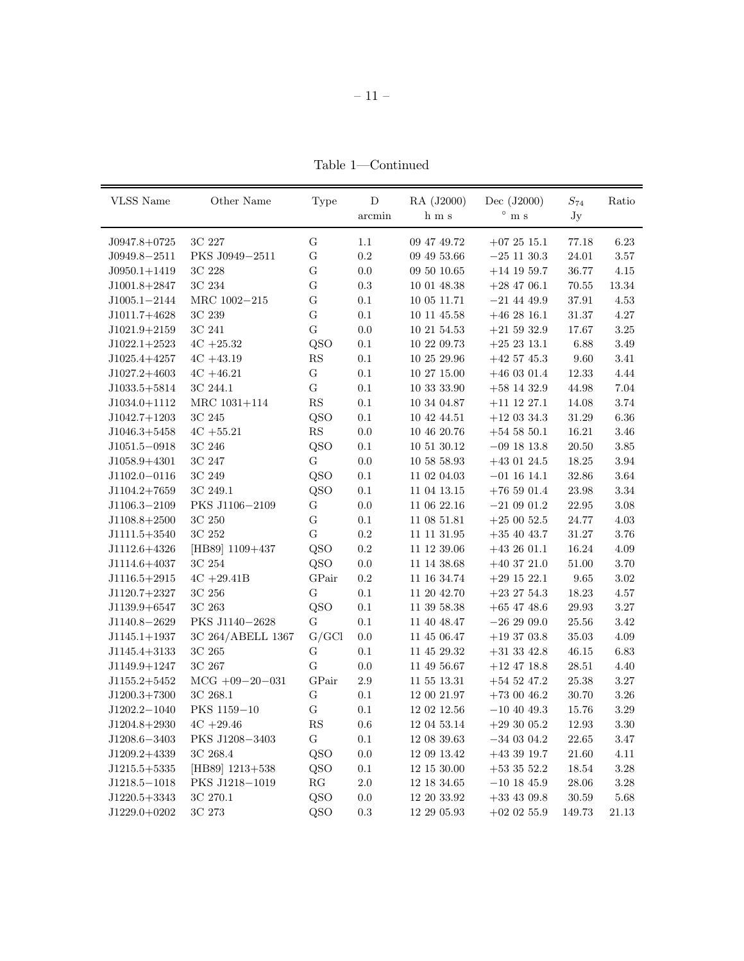Table  $1$  —Continued

| <b>VLSS</b> Name | Other Name        | Type           | D       | RA (J2000)  | Dec (J2000)     | $S_{74}$ | Ratio    |
|------------------|-------------------|----------------|---------|-------------|-----------------|----------|----------|
|                  |                   |                | arcmin  | h m s       | $^{\circ}$ m s  | Jy       |          |
| $J0947.8+0725$   | 3C 227            | G              | 1.1     | 09 47 49.72 | $+072515.1$     | 77.18    | 6.23     |
| $J0949.8 - 2511$ | PKS J0949-2511    | G              | 0.2     | 09 49 53.66 | $-25$ 11 30.3   | 24.01    | $3.57\,$ |
| $J0950.1 + 1419$ | 3C 228            | G              | 0.0     | 09 50 10.65 | $+14$ 19 59.7   | 36.77    | 4.15     |
| $J1001.8+2847$   | 3C 234            | $\overline{G}$ | 0.3     | 10 01 48.38 | $+28$ 47 06.1   | 70.55    | 13.34    |
| $J1005.1 - 2144$ | MRC 1002-215      | G              | 0.1     | 10 05 11.71 | $-21$ 44 49.9   | 37.91    | 4.53     |
| $J1011.7+4628$   | 3C 239            | G              | 0.1     | 10 11 45.58 | $+462816.1$     | 31.37    | 4.27     |
| $J1021.9+2159$   | 3C 241            | G              | 0.0     | 10 21 54.53 | $+21\ 59\ 32.9$ | 17.67    | $3.25\,$ |
| $J1022.1+2523$   | $4C + 25.32$      | QSO            | 0.1     | 10 22 09.73 | $+252313.1$     | 6.88     | 3.49     |
| $J1025.4+4257$   | $4C + 43.19$      | RS             | 0.1     | 10 25 29.96 | $+42$ 57 45.3   | 9.60     | 3.41     |
| $J1027.2+4603$   | $4C + 46.21$      | G              | 0.1     | 10 27 15.00 | $+46$ 03 01.4   | 12.33    | 4.44     |
| $J1033.5+5814$   | 3C 244.1          | $\overline{G}$ | 0.1     | 10 33 33.90 | $+58$ 14 32.9   | 44.98    | 7.04     |
| $J1034.0+1112$   | MRC 1031+114      | RS             | 0.1     | 10 34 04.87 | $+11$ 12 27.1   | 14.08    | 3.74     |
| $J1042.7+1203$   | 3C 245            | QSO            | 0.1     | 10 42 44.51 | $+12$ 03 34.3   | 31.29    | 6.36     |
| $J1046.3+5458$   | $4C + 55.21$      | RS             | $0.0\,$ | 10 46 20.76 | $+54$ 58 50.1   | 16.21    | 3.46     |
| $J1051.5 - 0918$ | 3C 246            | QSO            | 0.1     | 10 51 30.12 | $-09$ 18 13.8   | 20.50    | 3.85     |
| $J1058.9 + 4301$ | 3C 247            | G              | 0.0     | 10 58 58.93 | $+43$ 01 24.5   | 18.25    | 3.94     |
| $J1102.0 - 0116$ | 3C 249            | QSO            | 0.1     | 11 02 04.03 | $-01$ 16 14.1   | 32.86    | 3.64     |
| $J1104.2+7659$   | 3C 249.1          | QSO            | 0.1     | 11 04 13.15 | $+765901.4$     | 23.98    | 3.34     |
| J1106.3-2109     | PKS J1106-2109    | G              | 0.0     | 11 06 22.16 | $-210901.2$     | 22.95    | 3.08     |
| $J1108.8+2500$   | 3C 250            | $\mathbf G$    | 0.1     | 11 08 51.81 | $+250052.5$     | 24.77    | 4.03     |
| $J1111.5+3540$   | 3C 252            | G              | 0.2     | 11 11 31.95 | $+35\;40\;43.7$ | 31.27    | 3.76     |
| $J1112.6+4326$   | [HB89] 1109+437   | QSO            | 0.2     | 11 12 39.06 | $+432601.1$     | 16.24    | 4.09     |
| $J1114.6 + 4037$ | 3C 254            | QSO            | 0.0     | 11 14 38.68 | $+40$ 37 21.0   | 51.00    | 3.70     |
| $J1116.5+2915$   | $4C + 29.41B$     | GPair          | 0.2     | 11 16 34.74 | $+29$ 15 22.1   | 9.65     | 3.02     |
| $J1120.7+2327$   | 3C 256            | G              | 0.1     | 11 20 42.70 | $+23\;27\;54.3$ | 18.23    | 4.57     |
| $J1139.9+6547$   | 3C 263            | QSO            | 0.1     | 11 39 58.38 | $+65$ 47 48.6   | 29.93    | 3.27     |
| $J1140.8 - 2629$ | PKS J1140-2628    | G              | 0.1     | 11 40 48.47 | $-262909.0$     | 25.56    | 3.42     |
| $J1145.1+1937$   | 3C 264/ABELL 1367 | G/GCl          | 0.0     | 11 45 06.47 | $+193703.8$     | 35.03    | 4.09     |
| $J1145.4 + 3133$ | 3C 265            | G              | 0.1     | 11 45 29.32 | $+31$ 33 42.8   | 46.15    | 6.83     |
| J1149.9+1247     | 3C 267            | $\overline{G}$ | 0.0     | 11 49 56.67 | $+12$ 47 18.8   | 28.51    | 4.40     |
| $J1155.2+5452$   | $MCG +09-20-031$  | GPair          | 2.9     | 11 55 13.31 | $+54$ 52 47.2   | 25.38    | $3.27\,$ |
| $J1200.3+7300$   | 3C 268.1          | G              | 0.1     | 12 00 21.97 | $+730046.2$     | 30.70    | 3.26     |
| $J1202.2 - 1040$ | PKS 1159-10       | G              | 0.1     | 12 02 12.56 | $-10$ 40 49.3   | 15.76    | 3.29     |
| $J1204.8+2930$   | $4C + 29.46$      | RS             | 0.6     | 12 04 53.14 | $+293005.2$     | 12.93    | 3.30     |
| $J1208.6 - 3403$ | PKS J1208-3403    | G              | 0.1     | 12 08 39.63 | $-340304.2$     | 22.65    | 3.47     |
| $J1209.2+4339$   | 3C 268.4          | QSO            | 0.0     | 12 09 13.42 | $+433919.7$     | 21.60    | 4.11     |
| $J1215.5+5335$   | [HB89] $1213+538$ | QSO            | 0.1     | 12 15 30.00 | $+533552.2$     | 18.54    | $3.28\,$ |
| $J1218.5 - 1018$ | PKS J1218-1019    | RG             | 2.0     | 12 18 34.65 | $-10$ 18 45.9   | 28.06    | 3.28     |
| $J1220.5+3343$   | 3C 270.1          | QSO            | 0.0     | 12 20 33.92 | $+33$ 43 09.8   | 30.59    | 5.68     |
| $J1229.0+0202$   | 3C 273            | QSO            | 0.3     | 12 29 05.93 | $+02$ 02 55.9   | 149.73   | 21.13    |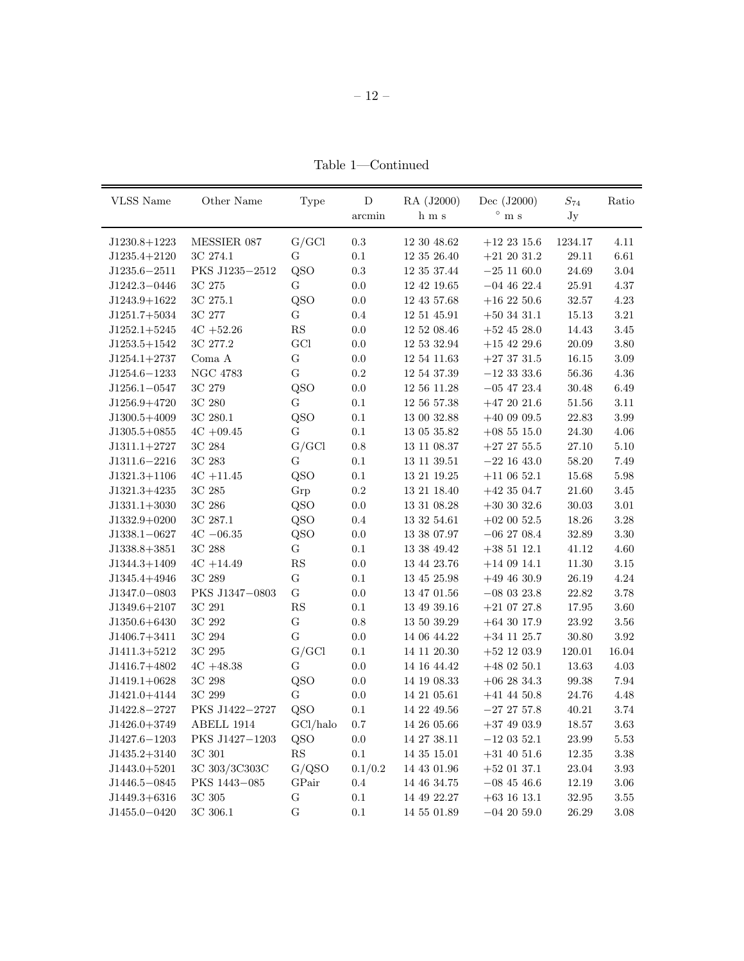Table 1—Continued

| VLSS Name        | Other Name      | Type           | D         | RA (J2000)  | Dec $(J2000)$   | $S_{74}$  | Ratio    |
|------------------|-----------------|----------------|-----------|-------------|-----------------|-----------|----------|
|                  |                 |                | arcmin    | h m s       | $^{\circ}$ m s  | Jy        |          |
| $J1230.8+1223$   | MESSIER 087     | G/GCl          | 0.3       | 12 30 48.62 | $+12\;23\;15.6$ | 1234.17   | 4.11     |
| $J1235.4 + 2120$ | 3C 274.1        | G              | $0.1\,$   | 12 35 26.40 | $+21\ 20\ 31.2$ | 29.11     | 6.61     |
| $J1235.6 - 2511$ | PKS J1235-2512  | QSO            | $\rm 0.3$ | 12 35 37.44 | $-25$ 11 60.0   | 24.69     | 3.04     |
| J1242.3-0446     | 3C 275          | G              | 0.0       | 12 42 19.65 | $-04$ 46 22.4   | 25.91     | 4.37     |
| $J1243.9+1622$   | 3C 275.1        | QSO            | 0.0       | 12 43 57.68 | $+16\;22\;50.6$ | 32.57     | 4.23     |
| $J1251.7+5034$   | 3C 277          | G              | 0.4       | 12 51 45.91 | $+503431.1$     | 15.13     | 3.21     |
| $J1252.1+5245$   | $4C + 52.26$    | RS             | 0.0       | 12 52 08.46 | $+52$ 45 28.0   | 14.43     | 3.45     |
| $J1253.5+1542$   | 3C 277.2        | GCI            | 0.0       | 12 53 32.94 | $+15$ 42 29.6   | 20.09     | 3.80     |
| $J1254.1+2737$   | Coma A          | $\mathbf G$    | 0.0       | 12 54 11.63 | $+273731.5$     | 16.15     | $3.09\,$ |
| $J1254.6 - 1233$ | <b>NGC 4783</b> | $\overline{G}$ | 0.2       | 12 54 37.39 | $-12\,33\,33.6$ | 56.36     | 4.36     |
| $J1256.1 - 0547$ | 3C 279          | QSO            | 0.0       | 12 56 11.28 | $-05$ 47 23.4   | 30.48     | 6.49     |
| $J1256.9+4720$   | 3C 280          | G              | 0.1       | 12 56 57.38 | $+472021.6$     | 51.56     | 3.11     |
| $J1300.5 + 4009$ | 3C 280.1        | QSO            | 0.1       | 13 00 32.88 | $+400909.5$     | 22.83     | 3.99     |
| $J1305.5+0855$   | $4C + 09.45$    | G              | 0.1       | 13 05 35.82 | $+08\;55\;15.0$ | 24.30     | 4.06     |
| $J1311.1+2727$   | 3C 284          | G/GCl          | 0.8       | 13 11 08.37 | $+27\;27\;55.5$ | 27.10     | 5.10     |
| $J1311.6 - 2216$ | 3C 283          | G              | 0.1       | 13 11 39.51 | $-22$ 16 43.0   | 58.20     | 7.49     |
| $J1321.3+1106$   | $4C + 11.45$    | QSO            | 0.1       | 13 21 19.25 | $+11$ 06 52.1   | 15.68     | 5.98     |
| $J1321.3+4235$   | 3C 285          | Grp            | $\rm 0.2$ | 13 21 18.40 | $+423504.7$     | 21.60     | 3.45     |
| $J1331.1+3030$   | 3C 286          | QSO            | 0.0       | 13 31 08.28 | $+30\,30\,32.6$ | 30.03     | 3.01     |
| $J1332.9+0200$   | 3C 287.1        | QSO            | 0.4       | 13 32 54.61 | $+02\ 00\ 52.5$ | 18.26     | 3.28     |
| $J1338.1 - 0627$ | $4C - 06.35$    | QSO            | 0.0       | 13 38 07.97 | $-06$ 27 08.4   | 32.89     | $3.30\,$ |
| $J1338.8+3851$   | 3C 288          | G              | 0.1       | 13 38 49.42 | $+38\;51\;12.1$ | 41.12     | 4.60     |
| $J1344.3+1409$   | $4C + 14.49$    | ${\rm RS}$     | 0.0       | 13 44 23.76 | $+140914.1$     | 11.30     | $3.15\,$ |
| J1345.4+4946     | 3C 289          | G              | 0.1       | 13 45 25.98 | $+494630.9$     | 26.19     | 4.24     |
| $J1347.0 - 0803$ | PKS J1347-0803  | G              | 0.0       | 13 47 01.56 | $-080323.8$     | 22.82     | 3.78     |
| $J1349.6 + 2107$ | 3C 291          | RS             | 0.1       | 13 49 39.16 | $+210727.8$     | 17.95     | 3.60     |
| $J1350.6 + 6430$ | 3C 292          | $\overline{G}$ | 0.8       | 13 50 39.29 | $+64$ 30 17.9   | 23.92     | 3.56     |
| $J1406.7+3411$   | 3C 294          | $\mathbf G$    | 0.0       | 14 06 44.22 | $+34\ 11\ 25.7$ | 30.80     | $3.92\,$ |
| $J1411.3+5212$   | 3C 295          | G/GCl          | $0.1\,$   | 14 11 20.30 | $+52$ 12 03.9   | 120.01    | 16.04    |
| $J1416.7+4802$   | $4C + 48.38$    | G              | 0.0       | 14 16 44.42 | $+480250.1$     | 13.63     | 4.03     |
| $J1419.1+0628$   | 3C 298          | QSO            | 0.0       | 14 19 08.33 | $+06\;28\;34.3$ | 99.38     | 7.94     |
| J1421.0+4144     | 3C 299          | G              | 0.0       | 14 21 05.61 | $+41\;44\;50.8$ | 24.76     | 4.48     |
| J1422.8-2727     | PKS J1422-2727  | QSO            | 0.1       | 14 22 49.56 | $-27\;27\;57.8$ | 40.21     | 3.74     |
| $J1426.0 + 3749$ | ABELL 1914      | GCl/halo       | 0.7       | 14 26 05.66 | $+37$ 49 03.9   | 18.57     | 3.63     |
| $J1427.6 - 1203$ | PKS J1427-1203  | QSO            | 0.0       | 14 27 38.11 | $-12$ 03 52.1   | 23.99     | 5.53     |
| $J1435.2 + 3140$ | $3C$ $301$      | RS             | 0.1       | 14 35 15.01 | $+31$ 40 51.6   | 12.35     | 3.38     |
| $J1443.0+5201$   | 3C 303/3C303C   | G/QSO          | 0.1/0.2   | 14 43 01.96 | $+52$ 01 37.1   | 23.04     | 3.93     |
| $J1446.5 - 0845$ | PKS 1443-085    | GPair          | 0.4       | 14 46 34.75 | $-08$ 45 46.6   | 12.19     | 3.06     |
| $J1449.3+6316$   | 3C 305          | G              | 0.1       | 14 49 22.27 | $+63$ 16 13.1   | $32.95\,$ | $3.55\,$ |
| $J1455.0 - 0420$ | 3C 306.1        | $\overline{G}$ | 0.1       | 14 55 01.89 | $-042059.0$     | 26.29     | $3.08\,$ |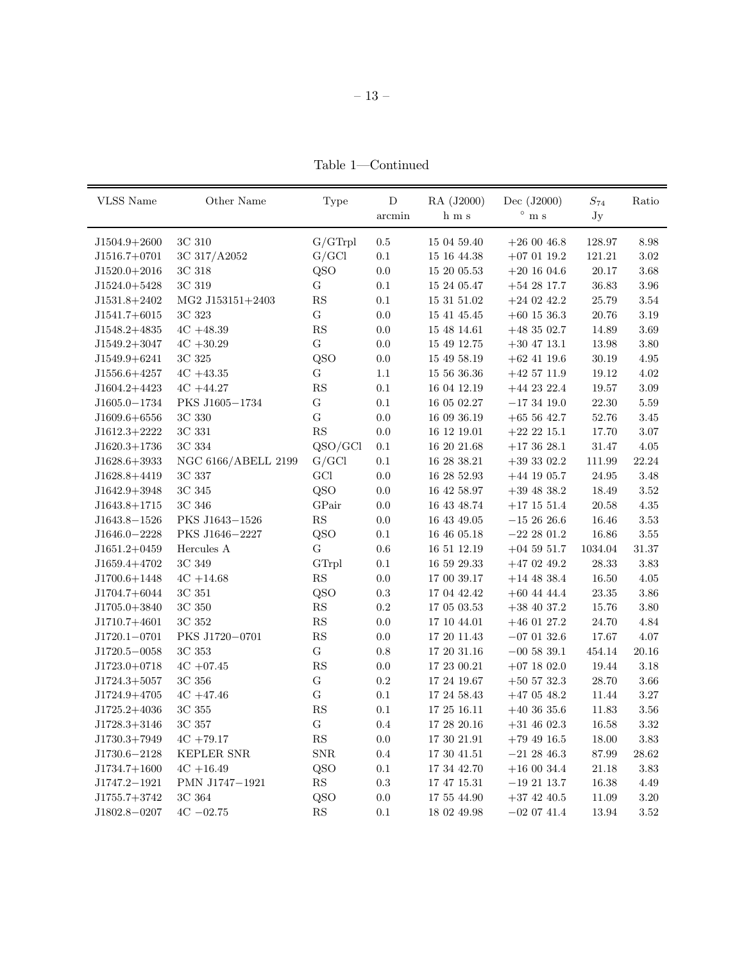Table  $1$  —Continued

| <b>VLSS</b> Name                   | Other Name          | Type                   | D         | RA (J2000)      | Dec (J2000)                | $S_{74}$  | Ratio     |
|------------------------------------|---------------------|------------------------|-----------|-----------------|----------------------------|-----------|-----------|
|                                    |                     |                        | arcmin    | h m s           | $^{\circ}$ m s             | Jy        |           |
|                                    | 3C 310              | G/GTrpl                | $0.5\,$   | 15 04 59.40     |                            | 128.97    | 8.98      |
| $J1504.9 + 2600$<br>$J1516.7+0701$ | 3C 317/A2052        | G/GCl                  | $0.1\,$   | 15 16 44.38     | $+260046.8$<br>$+070119.2$ | 121.21    | $3.02\,$  |
| $J1520.0 + 2016$                   | 3C 318              | QSO                    | $0.0\,$   | 15 20 05.53     | $+20$ 16 04.6              | $20.17\,$ | $3.68\,$  |
| $J1524.0+5428$                     | 3C 319              | $\mathbf G$            | 0.1       | 15 24 05.47     | $+542817.7$                | 36.83     | 3.96      |
| $J1531.8 + 2402$                   | $MG2$ J153151+2403  | ${\rm RS}$             | $0.1\,$   | $15\ 31\ 51.02$ | $+24$ 02 42.2              | 25.79     | 3.54      |
| $J1541.7+6015$                     | 3C 323              | $\mathbf G$            | 0.0       | 15 41 45.45     | $+60$ 15 36.3              | 20.76     | 3.19      |
| $J1548.2+4835$                     | $4C + 48.39$        | RS                     | $0.0\,$   | 15 48 14.61     | $+483502.7$                | 14.89     | 3.69      |
| $J1549.2+3047$                     | $4C + 30.29$        | ${\bf G}$              | 0.0       | 15 49 12.75     | $+30$ 47 13.1              | 13.98     | 3.80      |
| J1549.9+6241                       | 3C 325              | QSO                    | 0.0       | 15 49 58.19     | $+62$ 41 19.6              | 30.19     | 4.95      |
| $J1556.6+4257$                     | $4C + 43.35$        | G                      | 1.1       | 15 56 36.36     | $+42\;57\;11.9$            | 19.12     | 4.02      |
| $J1604.2+4423$                     | $4C + 44.27$        | RS                     | 0.1       | 16 04 12.19     | $+44$ 23 22.4              | 19.57     | $3.09\,$  |
| $J1605.0 - 1734$                   | PKS J1605-1734      | G                      | 0.1       | 16 05 02.27     | $-173419.0$                | 22.30     | 5.59      |
| $J1609.6+6556$                     | 3C 330              | $\overline{G}$         | 0.0       | 16 09 36.19     | $+655642.7$                | 52.76     | 3.45      |
| $J1612.3+2222$                     | 3C 331              | $\mathbf{R}\mathbf{S}$ | $0.0\,$   | 16 12 19.01     | $+22\;22\;15.1$            | 17.70     | 3.07      |
| $J1620.3+1736$                     | 3C 334              | QSO/GCl                | 0.1       | 16 20 21.68     | $+173628.1$                | 31.47     | 4.05      |
| $J1628.6 + 3933$                   | NGC 6166/ABELL 2199 | G/GCl                  | 0.1       | 16 28 38.21     | $+39302.2$                 | 111.99    | 22.24     |
| J1628.8+4419                       | 3C 337              | GCI                    | 0.0       | 16 28 52.93     | $+44$ 19 05.7              | 24.95     | 3.48      |
| $J1642.9+3948$                     | 3C 345              | QSO                    | $0.0\,$   | 16 42 58.97     | $+39$ 48 38.2              | 18.49     | 3.52      |
| $J1643.8+1715$                     | 3C 346              | GPair                  | 0.0       | 16 43 48.74     | $+17$ 15 51.4              | 20.58     | 4.35      |
| J1643.8-1526                       | PKS J1643-1526      | $\mathbf{RS}$          | 0.0       | 16 43 49.05     | $-152626.6$                | 16.46     | 3.53      |
| $J1646.0 - 2228$                   | PKS J1646-2227      | QSO                    | 0.1       | 16 46 05.18     | $-222801.2$                | 16.86     | 3.55      |
| $J1651.2+0459$                     | Hercules A          | $\mathbf G$            | $0.6\,$   | 16 51 12.19     | $+04\;59\;51.7$            | 1034.04   | $31.37\,$ |
| J1659.4+4702                       | 3C 349              | GTrpl                  | 0.1       | 16 59 29.33     | $+47$ 02 49.2              | 28.33     | 3.83      |
| $J1700.6 + 1448$                   | $4C + 14.68$        | $\mathbf{R}\mathbf{S}$ | 0.0       | 17 00 39.17     | $+14$ 48 38.4              | 16.50     | 4.05      |
| $J1704.7+6044$                     | 3C 351              | QSO                    | $\rm 0.3$ | 17 04 42.42     | $+60$ 44 44.4              | $23.35\,$ | 3.86      |
| $J1705.0 + 3840$                   | 3C 350              | $\mathbf{R}\mathbf{S}$ | $\rm 0.2$ | 17 05 03.53     | $+38$ 40 37.2              | 15.76     | 3.80      |
| J1710.7+4601                       | 3C 352              | $\mathbf{R}\mathbf{S}$ | 0.0       | 17 10 44.01     | $+46$ 01 27.2              | 24.70     | 4.84      |
| $J1720.1 - 0701$                   | PKS J1720-0701      | ${\rm RS}$             | 0.0       | 17 20 11.43     | $-070132.6$                | 17.67     | 4.07      |
| $J1720.5 - 0058$                   | 3C 353              | G                      | $0.8\,$   | $17\ 20\ 31.16$ | $-00$ 58 39.1              | 454.14    | 20.16     |
| $J1723.0+0718$                     | $4C + 07.45$        | $\mathbf{R}\mathbf{S}$ | 0.0       | $17\ 23\ 00.21$ | $+07$ 18 02.0              | 19.44     | 3.18      |
| $J1724.3+5057$                     | 3C 356              | ${\bf G}$              | $0.2\,$   | 17 24 19.67     | $+50$ 57 32.3              | 28.70     | 3.66      |
| J1724.9+4705                       | $4C + 47.46$        | G                      | 0.1       | 17 24 58.43     | $+47$ 05 $48.2$            | 11.44     | $3.27\,$  |
| J1725.2+4036                       | 3C 355              | RS                     | 0.1       | 17 25 16.11     | $+403635.6$                | 11.83     | 3.56      |
| J1728.3+3146                       | 3C 357              | ${\bf G}$              | 0.4       | 17 28 20.16     | $+31$ 46 02.3              | 16.58     | 3.32      |
| J1730.3+7949                       | $4C + 79.17$        | $\mathbf{R}\mathbf{S}$ | 0.0       | 17 30 21.91     | $+79\ 49\ 16.5$            | 18.00     | 3.83      |
| J1730.6-2128                       | KEPLER SNR          | ${\rm SNR}$            | 0.4       | 17 30 41.51     | $-212846.3$                | 87.99     | $28.62\,$ |
| $J1734.7+1600$                     | $4C + 16.49$        | QSO                    | $0.1\,$   | 17 34 42.70     | $+160034.4$                | 21.18     | 3.83      |
| J1747.2-1921                       | PMN J1747-1921      | RS                     | $\rm 0.3$ | 17 47 15.31     | $-19\ 21\ 13.7$            | 16.38     | 4.49      |
| $J1755.7+3742$                     | 3C 364              | QSO                    | 0.0       | 17 55 44.90     | $+37$ 42 40.5              | 11.09     | $3.20\,$  |
| J1802.8-0207                       | $4C - 02.75$        | $\mathbf{R}\mathbf{S}$ | 0.1       | 18 02 49.98     | $-020741.4$                | 13.94     | 3.52      |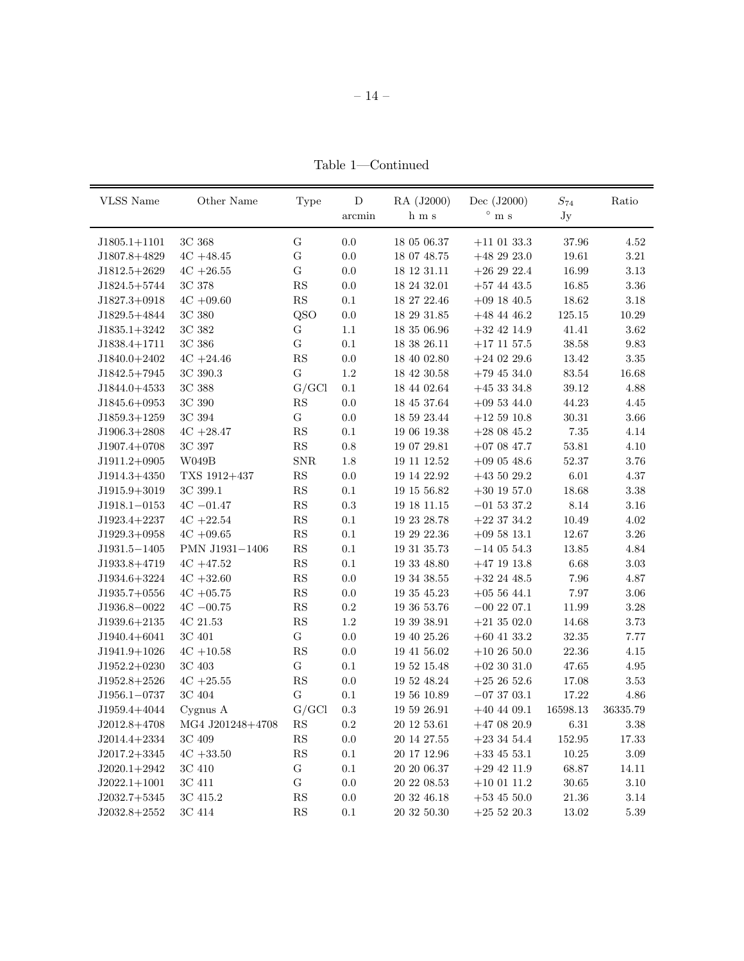Table 1—Continued

| <b>VLSS Name</b> | Other Name       | Type                   | D       | RA (J2000)  | Dec $(J2000)$   | $\mathcal{S}_{74}$ | Ratio    |
|------------------|------------------|------------------------|---------|-------------|-----------------|--------------------|----------|
|                  |                  |                        | arcmin  | h m s       | $^{\circ}$ m s  | Jy                 |          |
| $J1805.1 + 1101$ | 3C 368           | G                      | 0.0     | 18 05 06.37 | $+11$ 01 33.3   | 37.96              | 4.52     |
| J1807.8+4829     | $4C + 48.45$     | ${\bf G}$              | 0.0     | 18 07 48.75 | $+482923.0$     | 19.61              | $3.21\,$ |
| $J1812.5+2629$   | $4C + 26.55$     | G                      | 0.0     | 18 12 31.11 | $+262922.4$     | 16.99              | 3.13     |
| $J1824.5+5744$   | 3C 378           | $\mathbf{R}\mathbf{S}$ | 0.0     | 18 24 32.01 | $+57$ 44 43.5   | 16.85              | 3.36     |
| $J1827.3+0918$   | $4C + 09.60$     | RS                     | 0.1     | 18 27 22.46 | $+09$ 18 40.5   | 18.62              | 3.18     |
| J1829.5+4844     | 3C 380           | QSO                    | 0.0     | 18 29 31.85 | $+48$ 44 46.2   | 125.15             | 10.29    |
| $J1835.1+3242$   | 3C 382           | G                      | 1.1     | 18 35 06.96 | $+32$ 42 14.9   | 41.41              | 3.62     |
| $J1838.4+1711$   | 3C 386           | G                      | 0.1     | 18 38 26.11 | $+17$ 11 57.5   | 38.58              | 9.83     |
| $J1840.0 + 2402$ | $4C + 24.46$     | $\mathbf{R}\mathbf{S}$ | 0.0     | 18 40 02.80 | $+24$ 02 29.6   | 13.42              | 3.35     |
| $J1842.5+7945$   | 3C 390.3         | G                      | $1.2\,$ | 18 42 30.58 | $+79$ 45 34.0   | 83.54              | 16.68    |
| $J1844.0+4533$   | 3C 388           | G/GCl                  | 0.1     | 18 44 02.64 | $+453334.8$     | 39.12              | 4.88     |
| $J1845.6+0953$   | 3C 390           | RS                     | 0.0     | 18 45 37.64 | $+095344.0$     | 44.23              | 4.45     |
| $J1859.3+1259$   | 3C 394           | ${\bf G}$              | 0.0     | 18 59 23.44 | $+125910.8$     | 30.31              | 3.66     |
| $J1906.3+2808$   | $4C + 28.47$     | RS                     | $0.1\,$ | 19 06 19.38 | $+28$ 08 45.2   | 7.35               | 4.14     |
| $J1907.4+0708$   | 3C 397           | $\mathbf{R}\mathbf{S}$ | 0.8     | 19 07 29.81 | $+07$ 08 47.7   | 53.81              | 4.10     |
| $J1911.2+0905$   | W049B            | SNR                    | 1.8     | 19 11 12.52 | $+09$ 05 48.6   | 52.37              | 3.76     |
| $J1914.3+4350$   | TXS 1912+437     | RS                     | 0.0     | 19 14 22.92 | $+435029.2$     | 6.01               | 4.37     |
| $J1915.9 + 3019$ | 3C 399.1         | $\mathbf{R}\mathbf{S}$ | 0.1     | 19 15 56.82 | $+30$ 19 57.0   | 18.68              | $3.38\,$ |
| $J1918.1 - 0153$ | $4C - 01.47$     | RS                     | 0.3     | 19 18 11.15 | $-01$ 53 37.2   | 8.14               | 3.16     |
| $J1923.4+2237$   | $4C + 22.54$     | $\mathbf{R}\mathbf{S}$ | 0.1     | 19 23 28.78 | $+22$ 37 34.2   | 10.49              | 4.02     |
| $J1929.3+0958$   | $4C + 09.65$     | ${\rm RS}$             | 0.1     | 19 29 22.36 | $+09\,58\,13.1$ | 12.67              | $3.26\,$ |
| $J1931.5 - 1405$ | PMN J1931-1406   | $\mathbf{R}\mathbf{S}$ | 0.1     | 19 31 35.73 | $-140554.3$     | 13.85              | 4.84     |
| $J1933.8+4719$   | $4C + 47.52$     | $\mathbf{R}\mathbf{S}$ | 0.1     | 19 33 48.80 | $+47$ 19 13.8   | 6.68               | 3.03     |
| $J1934.6+3224$   | $4C + 32.60$     | $\mathbf{R}\mathbf{S}$ | 0.0     | 19 34 38.55 | $+32$ 24 48.5   | 7.96               | 4.87     |
| $J1935.7+0556$   | $4C + 05.75$     | $\mathbf{R}\mathbf{S}$ | $0.0\,$ | 19 35 45.23 | $+055644.1$     | 7.97               | 3.06     |
| J1936.8-0022     | $4C - 00.75$     | RS                     | $0.2\,$ | 19 36 53.76 | $-00$ 22 07.1   | 11.99              | 3.28     |
| $J1939.6+2135$   | 4C 21.53         | $\mathbf{R}\mathbf{S}$ | 1.2     | 19 39 38.91 | $+213502.0$     | 14.68              | 3.73     |
| $J1940.4 + 6041$ | 3C 401           | G                      | 0.0     | 19 40 25.26 | $+60$ 41 33.2   | 32.35              | 7.77     |
| $J1941.9+1026$   | $4C + 10.58$     | RS                     | 0.0     | 19 41 56.02 | $+102650.0$     | 22.36              | 4.15     |
| $J1952.2+0230$   | 3C 403           | ${\bf G}$              | 0.1     | 19 52 15.48 | $+02$ 30 31.0   | 47.65              | 4.95     |
| $J1952.8+2526$   | $4C + 25.55$     | RS                     | 0.0     | 19 52 48.24 | $+252652.6$     | 17.08              | $3.53\,$ |
| $J1956.1 - 0737$ | 3C 404           | ${\bf G}$              | 0.1     | 19 56 10.89 | $-073703.1$     | 17.22              | 4.86     |
| $J1959.4 + 4044$ | Cygnus A         | G/GCl                  | 0.3     | 19 59 26.91 | $+40$ 44 09.1   | 16598.13           | 36335.79 |
| $J2012.8+4708$   | MG4 J201248+4708 | $\mathbf{R}\mathbf{S}$ | 0.2     | 20 12 53.61 | $+47$ 08 20.9   | 6.31               | 3.38     |
| $J2014.4+2334$   | 3C 409           | RS                     | 0.0     | 20 14 27.55 | $+23$ 34 54.4   | 152.95             | 17.33    |
| $J2017.2+3345$   | $4C + 33.50$     | $\mathbf{R}\mathbf{S}$ | 0.1     | 20 17 12.96 | $+33$ 45 53.1   | 10.25              | $3.09\,$ |
| $J2020.1+2942$   | 3C 410           | G                      | 0.1     | 20 20 06.37 | $+29$ 42 11.9   | 68.87              | 14.11    |
| $J2022.1+1001$   | 3C 411           | G                      | 0.0     | 20 22 08.53 | $+10$ 01 11.2   | 30.65              | 3.10     |
| $J2032.7+5345$   | 3C 415.2         | $_{\rm RS}$            | 0.0     | 20 32 46.18 | $+53$ 45 50.0   | 21.36              | 3.14     |
| $J2032.8+2552$   | 3C 414           | RS                     | 0.1     | 20 32 50.30 | $+255220.3$     | 13.02              | 5.39     |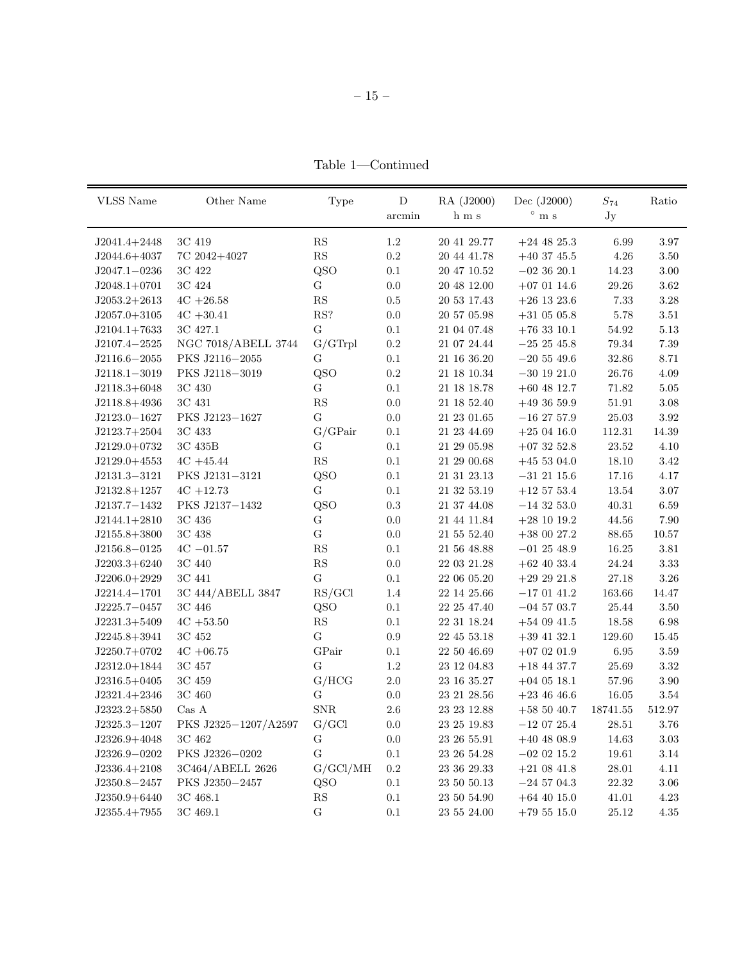Table  $1$  —Continued

| <b>VLSS</b> Name | Other Name           | Type                   | $\mathbf D$  | RA (J2000)      | Dec (J2000)     | $S_{74}$   | Ratio     |
|------------------|----------------------|------------------------|--------------|-----------------|-----------------|------------|-----------|
|                  |                      |                        | $\rm arcmin$ | h m s           | $^{\circ}$ m s  | Jy         |           |
| $J2041.4+2448$   | 3C 419               | $\mathbf{RS}$          | 1.2          | 20 41 29.77     | $+24$ 48 25.3   | 6.99       | 3.97      |
| $J2044.6 + 4037$ | 7C 2042+4027         | $\mathbf{RS}$          | $\rm 0.2$    | 20 44 41.78     | $+40$ 37 45.5   | 4.26       | 3.50      |
| $J2047.1 - 0236$ | 3C 422               | QSO                    | $0.1\,$      | 20 47 10.52     | $-023620.1$     | $14.23\,$  | $3.00\,$  |
| $J2048.1+0701$   | 3C 424               | ${\bf G}$              | 0.0          | 20 48 12.00     | $+07$ 01 14.6   | 29.26      | 3.62      |
| $J2053.2+2613$   | $4C + 26.58$         | RS                     | $0.5\,$      | 20 53 17.43     | $+26$ 13 23.6   | 7.33       | 3.28      |
| $J2057.0 + 3105$ | $4C + 30.41$         | RS?                    | 0.0          | 20 57 05.98     | $+31$ 05 05.8   | 5.78       | 3.51      |
| $J2104.1+7633$   | 3C 427.1             | ${\bf G}$              | 0.1          | 21 04 07.48     | $+76$ 33 10.1   | $54.92\,$  | $5.13\,$  |
| $J2107.4 - 2525$ | NGC 7018/ABELL 3744  | G/GTrpl                | $\rm 0.2$    | 21 07 24.44     | $-252545.8$     | 79.34      | 7.39      |
| $J2116.6 - 2055$ | PKS J2116-2055       | G                      | $0.1\,$      | $21\ 16\ 36.20$ | $-20\,55\,49.6$ | 32.86      | 8.71      |
| $J2118.1 - 3019$ | PKS J2118-3019       | QSO                    | $\rm 0.2$    | 21 18 10.34     | $-30$ 19 21.0   | 26.76      | 4.09      |
| $J2118.3+6048$   | 3C 430               | G                      | $0.1\,$      | 21 18 18.78     | $+60$ 48 12.7   | 71.82      | $5.05\,$  |
| $J2118.8+4936$   | 3C 431               | $\mathbf{R}\mathbf{S}$ | $0.0\,$      | 21 18 52.40     | $+493659.9$     | 51.91      | $3.08\,$  |
| $J2123.0 - 1627$ | PKS J2123-1627       | G                      | 0.0          | 21 23 01.65     | $-16$ 27 57.9   | 25.03      | $3.92\,$  |
| $J2123.7+2504$   | 3C 433               | G/GPair                | $0.1\,$      | 21 23 44.69     | $+250416.0$     | $112.31\,$ | $14.39\,$ |
| $J2129.0+0732$   | 3C 435B              | $\mathbf G$            | $0.1\,$      | 21 29 05.98     | $+073252.8$     | 23.52      | 4.10      |
| $J2129.0+4553$   | $4C + 45.44$         | $\mathbf{R}\mathbf{S}$ | $0.1\,$      | 21 29 00.68     | $+45$ 53 04.0   | 18.10      | 3.42      |
| $J2131.3 - 3121$ | PKS J2131-3121       | QSO                    | $0.1\,$      | 21 31 23.13     | $-31$ 21 15.6   | 17.16      | 4.17      |
| $J2132.8+1257$   | $4C + 12.73$         | G                      | 0.1          | 21 32 53.19     | $+12\;57\;53.4$ | 13.54      | $3.07\,$  |
| J2137.7-1432     | PKS J2137-1432       | QSO                    | 0.3          | 21 37 44.08     | $-14$ 32 53.0   | 40.31      | 6.59      |
| $J2144.1+2810$   | 3C 436               | G                      | 0.0          | 21 44 11.84     | $+28$ 10 19.2   | 44.56      | 7.90      |
| $J2155.8 + 3800$ | 3C 438               | G                      | 0.0          | 21 55 52.40     | $+380027.2$     | 88.65      | 10.57     |
| $J2156.8 - 0125$ | $4C - 01.57$         | RS                     | $0.1\,$      | 21 56 48.88     | $-012548.9$     | $16.25\,$  | 3.81      |
| $J2203.3+6240$   | 3C 440               | RS                     | 0.0          | 22 03 21.28     | $+62$ 40 33.4   | 24.24      | $3.33\,$  |
| $J2206.0+2929$   | 3C 441               | G                      | 0.1          | 22 06 05.20     | $+292921.8$     | 27.18      | $3.26\,$  |
| $J2214.4 - 1701$ | 3C 444/ABELL 3847    | RS/GCl                 | 1.4          | 22 14 25.66     | $-170141.2$     | 163.66     | 14.47     |
| $J2225.7 - 0457$ | 3C 446               | QSO                    | $0.1\,$      | 22 25 47.40     | $-04$ 57 03.7   | 25.44      | 3.50      |
| $J2231.3+5409$   | $4C + 53.50$         | $\mathbf{RS}$          | 0.1          | 22 31 18.24     | $+54$ 09 41.5   | 18.58      | 6.98      |
| $J2245.8 + 3941$ | 3C 452               | G                      | $0.9\,$      | 22 45 53.18     | $+39$ 41 32.1   | 129.60     | 15.45     |
| $J2250.7+0702$   | $4C + 06.75$         | GPair                  | 0.1          | 22 50 46.69     | $+070201.9$     | 6.95       | 3.59      |
| $J2312.0+1844$   | 3C 457               | $\mathbf G$            | 1.2          | 23 12 04.83     | $+18$ 44 37.7   | 25.69      | 3.32      |
| $J2316.5+0405$   | $3\mathrm{C}$ $459$  | G/HCG                  | $2.0\,$      | 23 16 35.27     | $+04$ 05 18.1   | 57.96      | 3.90      |
| $J2321.4+2346$   | 3C 460               | G                      | 0.0          | 23 21 28.56     | $+23$ 46 46.6   | 16.05      | 3.54      |
| $J2323.2+5850$   | $\mathrm{Cas}\;A$    | ${\rm SNR}$            | $2.6\,$      | 23 23 12.88     | $+585040.7$     | 18741.55   | 512.97    |
| $J2325.3 - 1207$ | PKS J2325-1207/A2597 | G/GCl                  | 0.0          | 23 25 19.83     | $-120725.4$     | 28.51      | 3.76      |
| $J2326.9 + 4048$ | 3C 462               | ${\bf G}$              | 0.0          | 23 26 55.91     | $+40$ 48 08.9   | 14.63      | $3.03\,$  |
| $J2326.9 - 0202$ | PKS J2326-0202       | G                      | $0.1\,$      | 23 26 54.28     | $-02$ 02 15.2   | 19.61      | 3.14      |
| $J2336.4 + 2108$ | 3C464/ABELL 2626     | G/GCl/MH               | $\rm 0.2$    | 23 36 29.33     | $+21\ 08\ 41.8$ | 28.01      | 4.11      |
| $J2350.8 - 2457$ | PKS J2350-2457       | QSO                    | $0.1\,$      | $23\ 50\ 50.13$ | $-24\,57\,04.3$ | 22.32      | 3.06      |
| $J2350.9 + 6440$ | 3C 468.1             | $\mathbf{RS}$          | 0.1          | 23 50 54.90     | $+64$ 40 15.0   | 41.01      | $4.23\,$  |
| $J2355.4+7955$   | 3C 469.1             | G                      | 0.1          | 23 55 24.00     | $+79515.0$      | 25.12      | 4.35      |